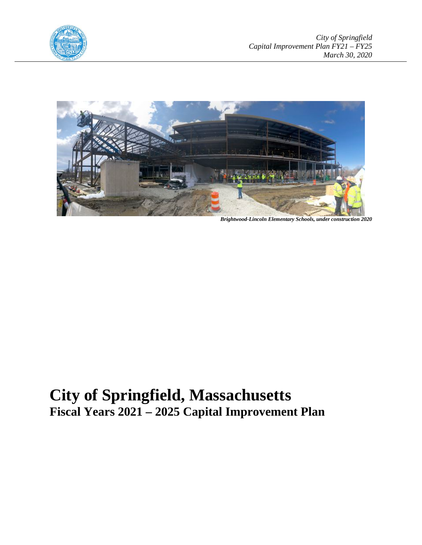



*Brightwood-Lincoln Elementary Schools, under construction 2020*

# **City of Springfield, Massachusetts Fiscal Years 2021 – 2025 Capital Improvement Plan**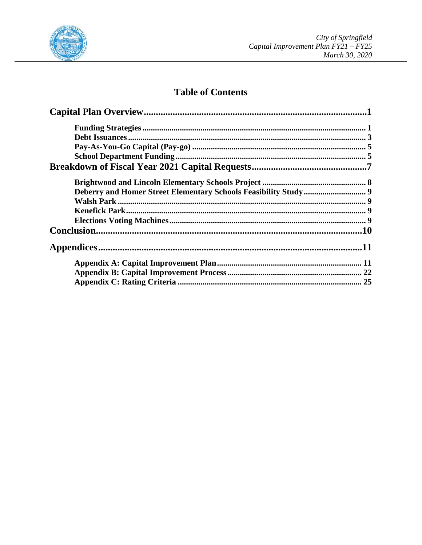

## **Table of Contents**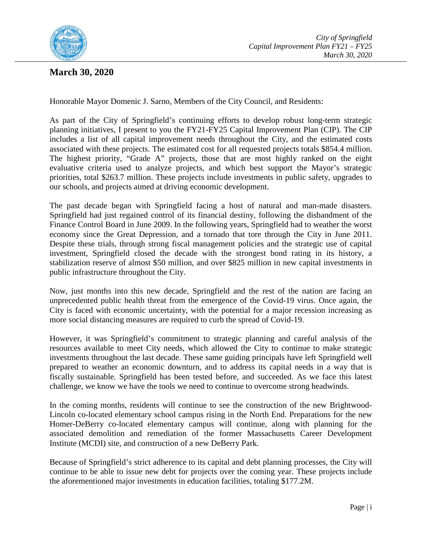

## **March 30, 2020**

Honorable Mayor Domenic J. Sarno, Members of the City Council, and Residents:

As part of the City of Springfield's continuing efforts to develop robust long-term strategic planning initiatives, I present to you the FY21-FY25 Capital Improvement Plan (CIP). The CIP includes a list of all capital improvement needs throughout the City, and the estimated costs associated with these projects. The estimated cost for all requested projects totals \$854.4 million. The highest priority, "Grade A" projects, those that are most highly ranked on the eight evaluative criteria used to analyze projects, and which best support the Mayor's strategic priorities, total \$263.7 million. These projects include investments in public safety, upgrades to our schools, and projects aimed at driving economic development.

The past decade began with Springfield facing a host of natural and man-made disasters. Springfield had just regained control of its financial destiny, following the disbandment of the Finance Control Board in June 2009. In the following years, Springfield had to weather the worst economy since the Great Depression, and a tornado that tore through the City in June 2011. Despite these trials, through strong fiscal management policies and the strategic use of capital investment, Springfield closed the decade with the strongest bond rating in its history, a stabilization reserve of almost \$50 million, and over \$825 million in new capital investments in public infrastructure throughout the City.

Now, just months into this new decade, Springfield and the rest of the nation are facing an unprecedented public health threat from the emergence of the Covid-19 virus. Once again, the City is faced with economic uncertainty, with the potential for a major recession increasing as more social distancing measures are required to curb the spread of Covid-19.

However, it was Springfield's commitment to strategic planning and careful analysis of the resources available to meet City needs, which allowed the City to continue to make strategic investments throughout the last decade. These same guiding principals have left Springfield well prepared to weather an economic downturn, and to address its capital needs in a way that is fiscally sustainable. Springfield has been tested before, and succeeded. As we face this latest challenge, we know we have the tools we need to continue to overcome strong headwinds.

In the coming months, residents will continue to see the construction of the new Brightwood-Lincoln co-located elementary school campus rising in the North End. Preparations for the new Homer-DeBerry co-located elementary campus will continue, along with planning for the associated demolition and remediation of the former Massachusetts Career Development Institute (MCDI) site, and construction of a new DeBerry Park.

Because of Springfield's strict adherence to its capital and debt planning processes, the City will continue to be able to issue new debt for projects over the coming year. These projects include the aforementioned major investments in education facilities, totaling \$177.2M.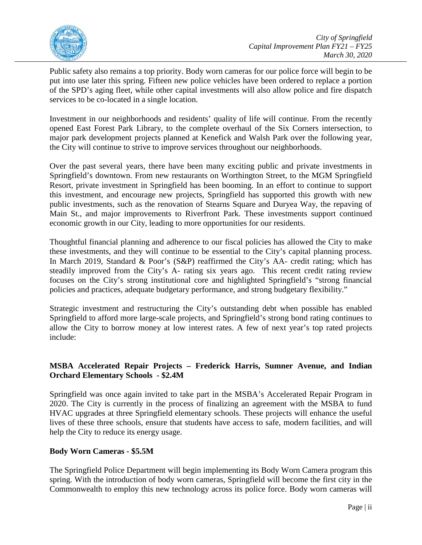

Public safety also remains a top priority. Body worn cameras for our police force will begin to be put into use later this spring. Fifteen new police vehicles have been ordered to replace a portion of the SPD's aging fleet, while other capital investments will also allow police and fire dispatch services to be co-located in a single location.

Investment in our neighborhoods and residents' quality of life will continue. From the recently opened East Forest Park Library, to the complete overhaul of the Six Corners intersection, to major park development projects planned at Kenefick and Walsh Park over the following year, the City will continue to strive to improve services throughout our neighborhoods.

Over the past several years, there have been many exciting public and private investments in Springfield's downtown. From new restaurants on Worthington Street, to the MGM Springfield Resort, private investment in Springfield has been booming. In an effort to continue to support this investment, and encourage new projects, Springfield has supported this growth with new public investments, such as the renovation of Stearns Square and Duryea Way, the repaving of Main St., and major improvements to Riverfront Park. These investments support continued economic growth in our City, leading to more opportunities for our residents.

Thoughtful financial planning and adherence to our fiscal policies has allowed the City to make these investments, and they will continue to be essential to the City's capital planning process. In March 2019, Standard & Poor's (S&P) reaffirmed the City's AA- credit rating; which has steadily improved from the City's A- rating six years ago. This recent credit rating review focuses on the City's strong institutional core and highlighted Springfield's "strong financial policies and practices, adequate budgetary performance, and strong budgetary flexibility."

Strategic investment and restructuring the City's outstanding debt when possible has enabled Springfield to afford more large-scale projects, and Springfield's strong bond rating continues to allow the City to borrow money at low interest rates. A few of next year's top rated projects include:

## **MSBA Accelerated Repair Projects – Frederick Harris, Sumner Avenue, and Indian Orchard Elementary Schools - \$2.4M**

Springfield was once again invited to take part in the MSBA's Accelerated Repair Program in 2020. The City is currently in the process of finalizing an agreement with the MSBA to fund HVAC upgrades at three Springfield elementary schools. These projects will enhance the useful lives of these three schools, ensure that students have access to safe, modern facilities, and will help the City to reduce its energy usage.

## **Body Worn Cameras - \$5.5M**

The Springfield Police Department will begin implementing its Body Worn Camera program this spring. With the introduction of body worn cameras, Springfield will become the first city in the Commonwealth to employ this new technology across its police force. Body worn cameras will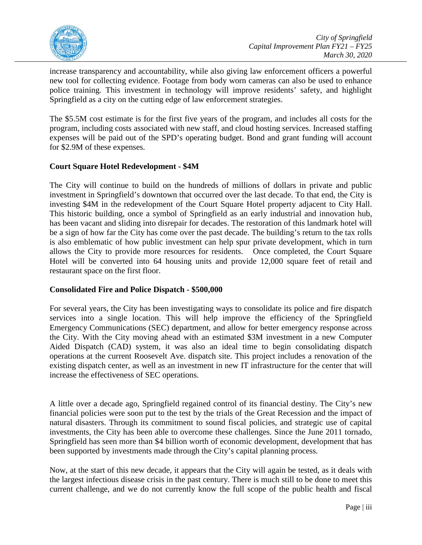

increase transparency and accountability, while also giving law enforcement officers a powerful new tool for collecting evidence. Footage from body worn cameras can also be used to enhance police training. This investment in technology will improve residents' safety, and highlight Springfield as a city on the cutting edge of law enforcement strategies.

The \$5.5M cost estimate is for the first five years of the program, and includes all costs for the program, including costs associated with new staff, and cloud hosting services. Increased staffing expenses will be paid out of the SPD's operating budget. Bond and grant funding will account for \$2.9M of these expenses.

## **Court Square Hotel Redevelopment - \$4M**

The City will continue to build on the hundreds of millions of dollars in private and public investment in Springfield's downtown that occurred over the last decade. To that end, the City is investing \$4M in the redevelopment of the Court Square Hotel property adjacent to City Hall. This historic building, once a symbol of Springfield as an early industrial and innovation hub, has been vacant and sliding into disrepair for decades. The restoration of this landmark hotel will be a sign of how far the City has come over the past decade. The building's return to the tax rolls is also emblematic of how public investment can help spur private development, which in turn allows the City to provide more resources for residents. Once completed, the Court Square Hotel will be converted into 64 housing units and provide 12,000 square feet of retail and restaurant space on the first floor.

## **Consolidated Fire and Police Dispatch - \$500,000**

For several years, the City has been investigating ways to consolidate its police and fire dispatch services into a single location. This will help improve the efficiency of the Springfield Emergency Communications (SEC) department, and allow for better emergency response across the City. With the City moving ahead with an estimated \$3M investment in a new Computer Aided Dispatch (CAD) system, it was also an ideal time to begin consolidating dispatch operations at the current Roosevelt Ave. dispatch site. This project includes a renovation of the existing dispatch center, as well as an investment in new IT infrastructure for the center that will increase the effectiveness of SEC operations.

A little over a decade ago, Springfield regained control of its financial destiny. The City's new financial policies were soon put to the test by the trials of the Great Recession and the impact of natural disasters. Through its commitment to sound fiscal policies, and strategic use of capital investments, the City has been able to overcome these challenges. Since the June 2011 tornado, Springfield has seen more than \$4 billion worth of economic development, development that has been supported by investments made through the City's capital planning process.

Now, at the start of this new decade, it appears that the City will again be tested, as it deals with the largest infectious disease crisis in the past century. There is much still to be done to meet this current challenge, and we do not currently know the full scope of the public health and fiscal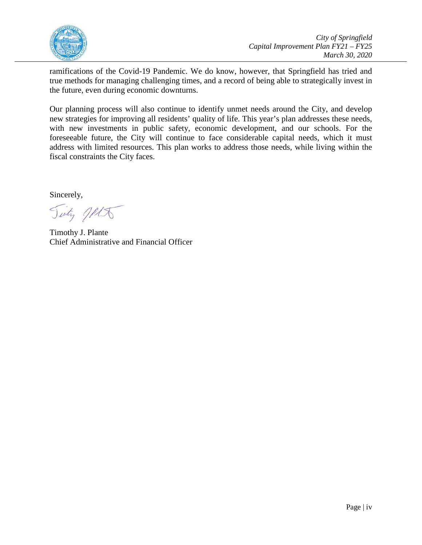

ramifications of the Covid-19 Pandemic. We do know, however, that Springfield has tried and true methods for managing challenging times, and a record of being able to strategically invest in the future, even during economic downturns.

Our planning process will also continue to identify unmet needs around the City, and develop new strategies for improving all residents' quality of life. This year's plan addresses these needs, with new investments in public safety, economic development, and our schools. For the foreseeable future, the City will continue to face considerable capital needs, which it must address with limited resources. This plan works to address those needs, while living within the fiscal constraints the City faces.

Sincerely,

Tinty Jelt

Timothy J. Plante Chief Administrative and Financial Officer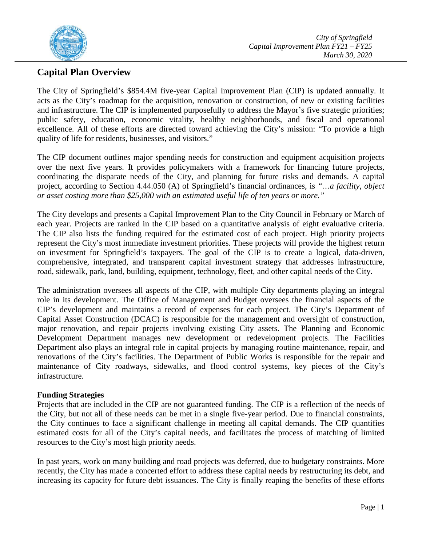

## <span id="page-6-0"></span>**Capital Plan Overview**

The City of Springfield's \$854.4M five-year Capital Improvement Plan (CIP) is updated annually. It acts as the City's roadmap for the acquisition, renovation or construction, of new or existing facilities and infrastructure. The CIP is implemented purposefully to address the Mayor's five strategic priorities; public safety, education, economic vitality, healthy neighborhoods, and fiscal and operational excellence. All of these efforts are directed toward achieving the City's mission: "To provide a high quality of life for residents, businesses, and visitors."

The CIP document outlines major spending needs for construction and equipment acquisition projects over the next five years. It provides policymakers with a framework for financing future projects, coordinating the disparate needs of the City, and planning for future risks and demands. A capital project, according to Section 4.44.050 (A) of Springfield's financial ordinances, is *"…a facility, object or asset costing more than \$25,000 with an estimated useful life of ten years or more."*

The City develops and presents a Capital Improvement Plan to the City Council in February or March of each year. Projects are ranked in the CIP based on a quantitative analysis of eight evaluative criteria. The CIP also lists the funding required for the estimated cost of each project. High priority projects represent the City's most immediate investment priorities. These projects will provide the highest return on investment for Springfield's taxpayers. The goal of the CIP is to create a logical, data-driven, comprehensive, integrated, and transparent capital investment strategy that addresses infrastructure, road, sidewalk, park, land, building, equipment, technology, fleet, and other capital needs of the City.

The administration oversees all aspects of the CIP, with multiple City departments playing an integral role in its development. The Office of Management and Budget oversees the financial aspects of the CIP's development and maintains a record of expenses for each project. The City's Department of Capital Asset Construction (DCAC) is responsible for the management and oversight of construction, major renovation, and repair projects involving existing City assets. The Planning and Economic Development Department manages new development or redevelopment projects. The Facilities Department also plays an integral role in capital projects by managing routine maintenance, repair, and renovations of the City's facilities. The Department of Public Works is responsible for the repair and maintenance of City roadways, sidewalks, and flood control systems, key pieces of the City's infrastructure.

## <span id="page-6-1"></span>**Funding Strategies**

Projects that are included in the CIP are not guaranteed funding. The CIP is a reflection of the needs of the City, but not all of these needs can be met in a single five-year period. Due to financial constraints, the City continues to face a significant challenge in meeting all capital demands. The CIP quantifies estimated costs for all of the City's capital needs, and facilitates the process of matching of limited resources to the City's most high priority needs.

In past years, work on many building and road projects was deferred, due to budgetary constraints. More recently, the City has made a concerted effort to address these capital needs by restructuring its debt, and increasing its capacity for future debt issuances. The City is finally reaping the benefits of these efforts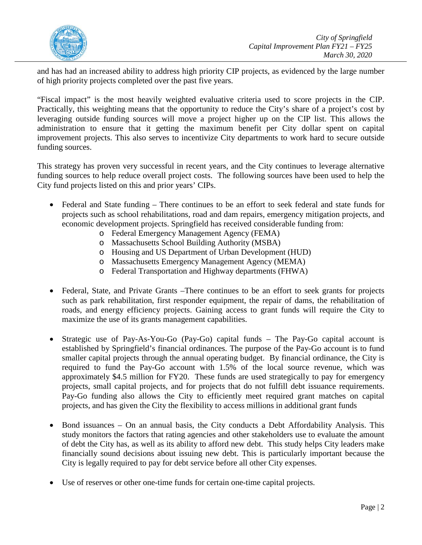

and has had an increased ability to address high priority CIP projects, as evidenced by the large number of high priority projects completed over the past five years.

"Fiscal impact" is the most heavily weighted evaluative criteria used to score projects in the CIP. Practically, this weighting means that the opportunity to reduce the City's share of a project's cost by leveraging outside funding sources will move a project higher up on the CIP list. This allows the administration to ensure that it getting the maximum benefit per City dollar spent on capital improvement projects. This also serves to incentivize City departments to work hard to secure outside funding sources.

This strategy has proven very successful in recent years, and the City continues to leverage alternative funding sources to help reduce overall project costs. The following sources have been used to help the City fund projects listed on this and prior years' CIPs.

- Federal and State funding There continues to be an effort to seek federal and state funds for projects such as school rehabilitations, road and dam repairs, emergency mitigation projects, and economic development projects. Springfield has received considerable funding from:
	- o Federal Emergency Management Agency (FEMA)
	- o Massachusetts School Building Authority (MSBA)
	- o Housing and US Department of Urban Development (HUD)
	- o Massachusetts Emergency Management Agency (MEMA)
	- o Federal Transportation and Highway departments (FHWA)
- Federal, State, and Private Grants –There continues to be an effort to seek grants for projects such as park rehabilitation, first responder equipment, the repair of dams, the rehabilitation of roads, and energy efficiency projects. Gaining access to grant funds will require the City to maximize the use of its grants management capabilities.
- Strategic use of Pay-As-You-Go (Pay-Go) capital funds The Pay-Go capital account is established by Springfield's financial ordinances. The purpose of the Pay-Go account is to fund smaller capital projects through the annual operating budget. By financial ordinance, the City is required to fund the Pay-Go account with 1.5% of the local source revenue, which was approximately \$4.5 million for FY20. These funds are used strategically to pay for emergency projects, small capital projects, and for projects that do not fulfill debt issuance requirements. Pay-Go funding also allows the City to efficiently meet required grant matches on capital projects, and has given the City the flexibility to access millions in additional grant funds
- Bond issuances On an annual basis, the City conducts a Debt Affordability Analysis. This study monitors the factors that rating agencies and other stakeholders use to evaluate the amount of debt the City has, as well as its ability to afford new debt. This study helps City leaders make financially sound decisions about issuing new debt. This is particularly important because the City is legally required to pay for debt service before all other City expenses.
- Use of reserves or other one-time funds for certain one-time capital projects.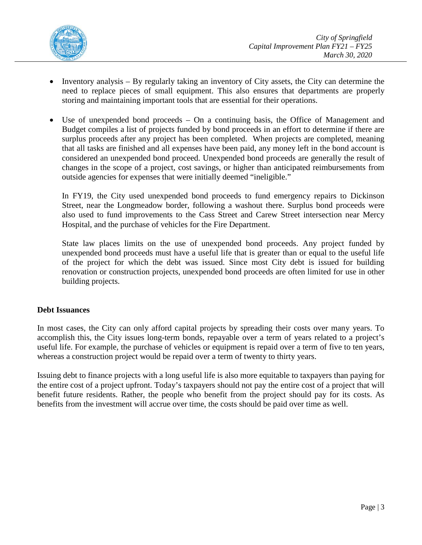

- Inventory analysis By regularly taking an inventory of City assets, the City can determine the need to replace pieces of small equipment. This also ensures that departments are properly storing and maintaining important tools that are essential for their operations.
- Use of unexpended bond proceeds On a continuing basis, the Office of Management and Budget compiles a list of projects funded by bond proceeds in an effort to determine if there are surplus proceeds after any project has been completed. When projects are completed, meaning that all tasks are finished and all expenses have been paid, any money left in the bond account is considered an unexpended bond proceed. Unexpended bond proceeds are generally the result of changes in the scope of a project, cost savings, or higher than anticipated reimbursements from outside agencies for expenses that were initially deemed "ineligible."

In FY19, the City used unexpended bond proceeds to fund emergency repairs to Dickinson Street, near the Longmeadow border, following a washout there. Surplus bond proceeds were also used to fund improvements to the Cass Street and Carew Street intersection near Mercy Hospital, and the purchase of vehicles for the Fire Department.

State law places limits on the use of unexpended bond proceeds. Any project funded by unexpended bond proceeds must have a useful life that is greater than or equal to the useful life of the project for which the debt was issued. Since most City debt is issued for building renovation or construction projects, unexpended bond proceeds are often limited for use in other building projects.

## <span id="page-8-0"></span>**Debt Issuances**

In most cases, the City can only afford capital projects by spreading their costs over many years. To accomplish this, the City issues long-term bonds, repayable over a term of years related to a project's useful life. For example, the purchase of vehicles or equipment is repaid over a term of five to ten years, whereas a construction project would be repaid over a term of twenty to thirty years.

Issuing debt to finance projects with a long useful life is also more equitable to taxpayers than paying for the entire cost of a project upfront. Today's taxpayers should not pay the entire cost of a project that will benefit future residents. Rather, the people who benefit from the project should pay for its costs. As benefits from the investment will accrue over time, the costs should be paid over time as well.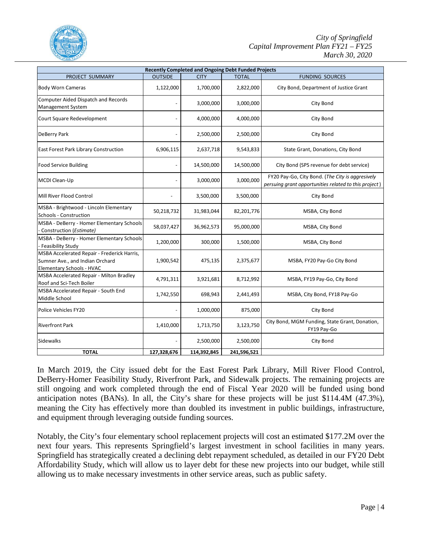

| <b>Recently Completed and Ongoing Debt Funded Projects</b>                                                  |                |             |              |                                                                                                           |  |
|-------------------------------------------------------------------------------------------------------------|----------------|-------------|--------------|-----------------------------------------------------------------------------------------------------------|--|
| PROJECT SUMMARY                                                                                             | <b>OUTSIDE</b> | <b>CITY</b> | <b>TOTAL</b> | <b>FUNDING SOURCES</b>                                                                                    |  |
| <b>Body Worn Cameras</b>                                                                                    | 1,122,000      | 1,700,000   | 2,822,000    | City Bond, Department of Justice Grant                                                                    |  |
| Computer Aided Dispatch and Records<br>Management System                                                    |                | 3,000,000   | 3,000,000    | City Bond                                                                                                 |  |
| Court Square Redevelopment                                                                                  |                | 4,000,000   | 4,000,000    | City Bond                                                                                                 |  |
| DeBerry Park                                                                                                |                | 2,500,000   | 2,500,000    | City Bond                                                                                                 |  |
| East Forest Park Library Construction                                                                       | 6,906,115      | 2,637,718   | 9,543,833    | State Grant, Donations, City Bond                                                                         |  |
| <b>Food Service Building</b>                                                                                |                | 14,500,000  | 14,500,000   | City Bond (SPS revenue for debt service)                                                                  |  |
| MCDI Clean-Up                                                                                               |                | 3,000,000   | 3,000,000    | FY20 Pay-Go, City Bond. (The City is aggresively<br>persuing grant opportunities related to this project) |  |
| Mill River Flood Control                                                                                    |                | 3,500,000   | 3,500,000    | City Bond                                                                                                 |  |
| MSBA - Brightwood - Lincoln Elementary<br>Schools - Construction                                            | 50,218,732     | 31,983,044  | 82,201,776   | MSBA, City Bond                                                                                           |  |
| MSBA - DeBerry - Homer Elementary Schools<br>- Construction (Estimate)                                      | 58,037,427     | 36,962,573  | 95,000,000   | MSBA, City Bond                                                                                           |  |
| MSBA - DeBerry - Homer Elementary Schools<br>- Feasibility Study                                            | 1,200,000      | 300,000     | 1,500,000    | MSBA, City Bond                                                                                           |  |
| MSBA Accelerated Repair - Frederick Harris,<br>Sumner Ave., and Indian Orchard<br>Elementary Schools - HVAC | 1,900,542      | 475,135     | 2,375,677    | MSBA, FY20 Pay-Go City Bond                                                                               |  |
| MSBA Accelerated Repair - Milton Bradley<br>Roof and Sci-Tech Boiler                                        | 4,791,311      | 3,921,681   | 8,712,992    | MSBA, FY19 Pay-Go, City Bond                                                                              |  |
| MSBA Accelerated Repair - South End<br>Middle School                                                        | 1,742,550      | 698,943     | 2,441,493    | MSBA, City Bond, FY18 Pay-Go                                                                              |  |
| Police Vehicles FY20                                                                                        |                | 1,000,000   | 875,000      | City Bond                                                                                                 |  |
| <b>Riverfront Park</b>                                                                                      | 1,410,000      | 1,713,750   | 3,123,750    | City Bond, MGM Funding, State Grant, Donation,<br>FY19 Pay-Go                                             |  |
| <b>Sidewalks</b>                                                                                            |                | 2,500,000   | 2,500,000    | City Bond                                                                                                 |  |
| <b>TOTAL</b>                                                                                                | 127,328,676    | 114,392,845 | 241,596,521  |                                                                                                           |  |

In March 2019, the City issued debt for the East Forest Park Library, Mill River Flood Control, DeBerry-Homer Feasibility Study, Riverfront Park, and Sidewalk projects. The remaining projects are still ongoing and work completed through the end of Fiscal Year 2020 will be funded using bond anticipation notes (BANs). In all, the City's share for these projects will be just \$114.4M (47.3%), meaning the City has effectively more than doubled its investment in public buildings, infrastructure, and equipment through leveraging outside funding sources.

Notably, the City's four elementary school replacement projects will cost an estimated \$177.2M over the next four years. This represents Springfield's largest investment in school facilities in many years. Springfield has strategically created a declining debt repayment scheduled, as detailed in our FY20 Debt Affordability Study, which will allow us to layer debt for these new projects into our budget, while still allowing us to make necessary investments in other service areas, such as public safety.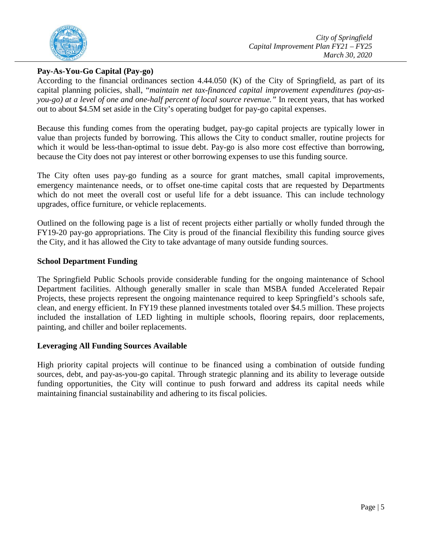

## <span id="page-10-0"></span>**Pay-As-You-Go Capital (Pay-go)**

According to the financial ordinances section 4.44.050 (K) of the City of Springfield, as part of its capital planning policies, shall, "*maintain net tax-financed capital improvement expenditures (pay-asyou-go) at a level of one and one-half percent of local source revenue."* In recent years, that has worked out to about \$4.5M set aside in the City's operating budget for pay-go capital expenses.

Because this funding comes from the operating budget, pay-go capital projects are typically lower in value than projects funded by borrowing. This allows the City to conduct smaller, routine projects for which it would be less-than-optimal to issue debt. Pay-go is also more cost effective than borrowing, because the City does not pay interest or other borrowing expenses to use this funding source.

The City often uses pay-go funding as a source for grant matches, small capital improvements, emergency maintenance needs, or to offset one-time capital costs that are requested by Departments which do not meet the overall cost or useful life for a debt issuance. This can include technology upgrades, office furniture, or vehicle replacements.

Outlined on the following page is a list of recent projects either partially or wholly funded through the FY19-20 pay-go appropriations. The City is proud of the financial flexibility this funding source gives the City, and it has allowed the City to take advantage of many outside funding sources.

## <span id="page-10-1"></span>**School Department Funding**

The Springfield Public Schools provide considerable funding for the ongoing maintenance of School Department facilities. Although generally smaller in scale than MSBA funded Accelerated Repair Projects, these projects represent the ongoing maintenance required to keep Springfield's schools safe, clean, and energy efficient. In FY19 these planned investments totaled over \$4.5 million. These projects included the installation of LED lighting in multiple schools, flooring repairs, door replacements, painting, and chiller and boiler replacements.

## **Leveraging All Funding Sources Available**

High priority capital projects will continue to be financed using a combination of outside funding sources, debt, and pay-as-you-go capital. Through strategic planning and its ability to leverage outside funding opportunities, the City will continue to push forward and address its capital needs while maintaining financial sustainability and adhering to its fiscal policies.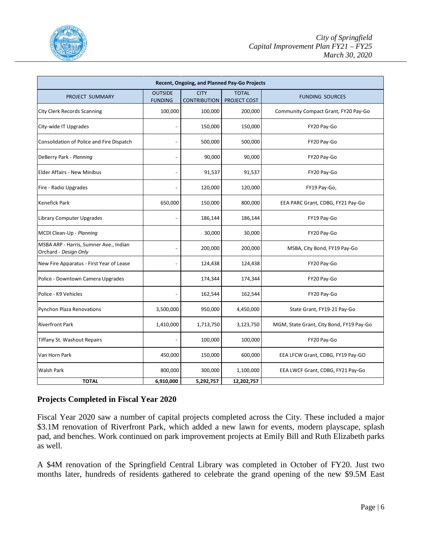

| Recent, Ongoing, and Planned Pay-Go Projects                    |                                  |                                    |                                     |                                          |  |
|-----------------------------------------------------------------|----------------------------------|------------------------------------|-------------------------------------|------------------------------------------|--|
| PROJECT SUMMARY                                                 | <b>OUTSIDE</b><br><b>FUNDING</b> | <b>CITY</b><br><b>CONTRIBUTION</b> | <b>TOTAL</b><br><b>PROJECT COST</b> | <b>FUNDING SOURCES</b>                   |  |
| City Clerk Records Scanning                                     | 100,000                          | 100,000                            | 200,000                             | Community Compact Grant, FY20 Pay-Go     |  |
| City-wide IT Upgrades                                           |                                  | 150,000                            | 150,000                             | FY20 Pay-Go                              |  |
| Consolidation of Police and Fire Dispatch                       |                                  | 500,000                            | 500,000                             | FY20 Pay-Go                              |  |
| DeBerry Park - Planning                                         |                                  | 90,000                             | 90,000                              | FY20 Pay-Go                              |  |
| <b>Elder Affairs - New Minibus</b>                              |                                  | 91,537                             | 91,537                              | FY20 Pay-Go                              |  |
| Fire - Radio Upgrades                                           |                                  | 120,000                            | 120,000                             | FY19 Pay-Go,                             |  |
| <b>Kenefick Park</b>                                            | 650,000                          | 150,000                            | 800,000                             | EEA PARC Grant, CDBG, FY21 Pay-Go        |  |
| <b>Library Computer Upgrades</b>                                |                                  | 186,144                            | 186,144                             | FY19 Pay-Go                              |  |
| MCDI Clean-Up - Planning                                        |                                  | 30,000                             | 30,000                              | FY20 Pay-Go                              |  |
| MSBA ARP - Harris, Sumner Ave., Indian<br>Orchard - Design Only |                                  | 200,000                            | 200,000                             | MSBA, City Bond, FY19 Pay-Go             |  |
| New Fire Apparatus - First Year of Lease                        |                                  | 124,438                            | 124,438                             | FY20 Pay-Go                              |  |
| Police - Downtown Camera Upgrades                               |                                  | 174,344                            | 174,344                             | FY20 Pay-Go                              |  |
| Police - K9 Vehicles                                            |                                  | 162,544                            | 162,544                             | FY20 Pay-Go                              |  |
| <b>Pynchon Plaza Renovations</b>                                | 3,500,000                        | 950,000                            | 4,450,000                           | State Grant, FY19-21 Pay-Go              |  |
| <b>Riverfront Park</b>                                          | 1,410,000                        | 1,713,750                          | 3,123,750                           | MGM, State Grant, City Bond, FY19 Pay-Go |  |
| <b>Tiffany St. Washout Repairs</b>                              |                                  | 100,000                            | 100,000                             | FY20 Pay-Go                              |  |
| Van Horn Park                                                   | 450,000                          | 150,000                            | 600,000                             | EEA LFCW Grant, CDBG, FY19 Pay-GO        |  |
| Walsh Park                                                      | 800,000                          | 300,000                            | 1,100,000                           | EEA LWCF Grant, CDBG, FY21 Pay-Go        |  |
| <b>TOTAL</b>                                                    | 6,910,000                        | 5,292,757                          | 12,202,757                          |                                          |  |

## **Projects Completed in Fiscal Year 2020**

Fiscal Year 2020 saw a number of capital projects completed across the City. These included a major \$3.1M renovation of Riverfront Park, which added a new lawn for events, modern playscape, splash pad, and benches. Work continued on park improvement projects at Emily Bill and Ruth Elizabeth parks as well.

A \$4M renovation of the Springfield Central Library was completed in October of FY20. Just two months later, hundreds of residents gathered to celebrate the grand opening of the new \$9.5M East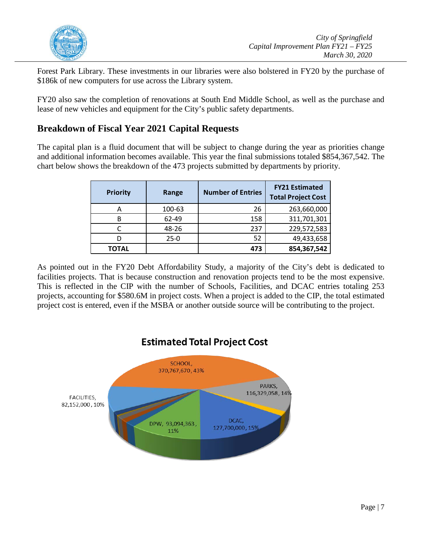

Forest Park Library. These investments in our libraries were also bolstered in FY20 by the purchase of \$186k of new computers for use across the Library system.

FY20 also saw the completion of renovations at South End Middle School, as well as the purchase and lease of new vehicles and equipment for the City's public safety departments.

## <span id="page-12-0"></span>**Breakdown of Fiscal Year 2021 Capital Requests**

The capital plan is a fluid document that will be subject to change during the year as priorities change and additional information becomes available. This year the final submissions totaled \$854,367,542. The chart below shows the breakdown of the 473 projects submitted by departments by priority.

| <b>Priority</b> | Range  | <b>Number of Entries</b> | <b>FY21 Estimated</b><br><b>Total Project Cost</b> |
|-----------------|--------|--------------------------|----------------------------------------------------|
| А               | 100-63 | 26                       | 263,660,000                                        |
| B               | 62-49  | 158                      | 311,701,301                                        |
|                 | 48-26  | 237                      | 229,572,583                                        |
|                 | $25-0$ | 52                       | 49,433,658                                         |
| ΤΟΤΑL           |        | 473                      | 854,367,542                                        |

As pointed out in the FY20 Debt Affordability Study, a majority of the City's debt is dedicated to facilities projects. That is because construction and renovation projects tend to be the most expensive. This is reflected in the CIP with the number of Schools, Facilities, and DCAC entries totaling 253 projects, accounting for \$580.6M in project costs. When a project is added to the CIP, the total estimated project cost is entered, even if the MSBA or another outside source will be contributing to the project.

## **Estimated Total Project Cost** SCHOOL, 370,767,670,43% PARKS, 116,329,058,14% FACILITIES, 82,152,000,10% DCAC. DPW, 93,094,363, 127,700,000, 15% 11%

Page | 7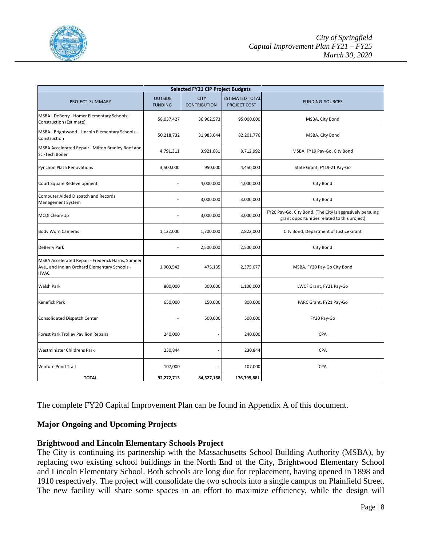

|                                                                                                                    |                                  | <b>Selected FY21 CIP Project Budgets</b> |                                        |                                                                                                           |
|--------------------------------------------------------------------------------------------------------------------|----------------------------------|------------------------------------------|----------------------------------------|-----------------------------------------------------------------------------------------------------------|
| PROJECT SUMMARY                                                                                                    | <b>OUTSIDE</b><br><b>FUNDING</b> | <b>CITY</b><br><b>CONTRIBUTION</b>       | <b>ESTIMATED TOTAL</b><br>PROJECT COST | <b>FUNDING SOURCES</b>                                                                                    |
| MSBA - DeBerry - Homer Elementary Schools -<br>Construction (Estimate)                                             | 58,037,427                       | 36,962,573                               | 95,000,000                             | MSBA, City Bond                                                                                           |
| MSBA - Brightwood - Lincoln Elementary Schools -<br>Construction                                                   | 50,218,732                       | 31,983,044                               | 82,201,776                             | MSBA, City Bond                                                                                           |
| MSBA Accelerated Repair - Milton Bradley Roof and<br>Sci-Tech Boiler                                               | 4,791,311                        | 3,921,681                                | 8,712,992                              | MSBA, FY19 Pay-Go, City Bond                                                                              |
| Pynchon Plaza Renovations                                                                                          | 3,500,000                        | 950,000                                  | 4,450,000                              | State Grant, FY19-21 Pay-Go                                                                               |
| Court Square Redevelopment                                                                                         | L                                | 4,000,000                                | 4,000,000                              | City Bond                                                                                                 |
| <b>Computer Aided Dispatch and Records</b><br><b>Management System</b>                                             |                                  | 3,000,000                                | 3,000,000                              | City Bond                                                                                                 |
| MCDI Clean-Up                                                                                                      |                                  | 3,000,000                                | 3,000,000                              | FY20 Pay-Go, City Bond. (The City is aggresively persuing<br>grant opportunities related to this project) |
| <b>Body Worn Cameras</b>                                                                                           | 1,122,000                        | 1,700,000                                | 2,822,000                              | City Bond, Department of Justice Grant                                                                    |
| DeBerry Park                                                                                                       |                                  | 2,500,000                                | 2,500,000                              | City Bond                                                                                                 |
| MSBA Accelerated Repair - Frederick Harris, Sumner<br>Ave., and Indian Orchard Elementary Schools -<br><b>HVAC</b> | 1,900,542                        | 475,135                                  | 2,375,677                              | MSBA, FY20 Pay-Go City Bond                                                                               |
| <b>Walsh Park</b>                                                                                                  | 800,000                          | 300,000                                  | 1,100,000                              | LWCF Grant, FY21 Pay-Go                                                                                   |
| <b>Kenefick Park</b>                                                                                               | 650,000                          | 150,000                                  | 800,000                                | PARC Grant, FY21 Pay-Go                                                                                   |
| Consolidated Dispatch Center                                                                                       |                                  | 500,000                                  | 500,000                                | FY20 Pay-Go                                                                                               |
| <b>Forest Park Trolley Pavilion Repairs</b>                                                                        | 240,000                          |                                          | 240,000                                | CPA                                                                                                       |
| <b>Westminister Childrens Park</b>                                                                                 | 230,844                          |                                          | 230,844                                | <b>CPA</b>                                                                                                |
| Venture Pond Trail                                                                                                 | 107,000                          |                                          | 107,000                                | CPA                                                                                                       |
| <b>TOTAL</b>                                                                                                       | 92,272,713                       | 84,527,168                               | 176,799,881                            |                                                                                                           |

The complete FY20 Capital Improvement Plan can be found in Appendix A of this document.

## **Major Ongoing and Upcoming Projects**

## <span id="page-13-0"></span>**Brightwood and Lincoln Elementary Schools Project**

The City is continuing its partnership with the Massachusetts School Building Authority (MSBA), by replacing two existing school buildings in the North End of the City, Brightwood Elementary School and Lincoln Elementary School. Both schools are long due for replacement, having opened in 1898 and 1910 respectively. The project will consolidate the two schools into a single campus on Plainfield Street. The new facility will share some spaces in an effort to maximize efficiency, while the design will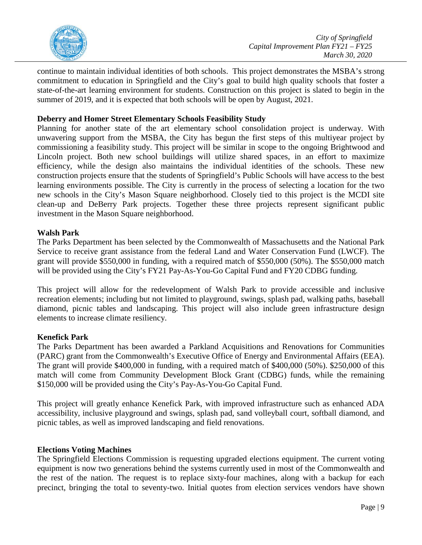

continue to maintain individual identities of both schools. This project demonstrates the MSBA's strong commitment to education in Springfield and the City's goal to build high quality schools that foster a state-of-the-art learning environment for students. Construction on this project is slated to begin in the summer of 2019, and it is expected that both schools will be open by August, 2021.

## <span id="page-14-0"></span>**Deberry and Homer Street Elementary Schools Feasibility Study**

Planning for another state of the art elementary school consolidation project is underway. With unwavering support from the MSBA, the City has begun the first steps of this multiyear project by commissioning a feasibility study. This project will be similar in scope to the ongoing Brightwood and Lincoln project. Both new school buildings will utilize shared spaces, in an effort to maximize efficiency, while the design also maintains the individual identities of the schools. These new construction projects ensure that the students of Springfield's Public Schools will have access to the best learning environments possible. The City is currently in the process of selecting a location for the two new schools in the City's Mason Square neighborhood. Closely tied to this project is the MCDI site clean-up and DeBerry Park projects. Together these three projects represent significant public investment in the Mason Square neighborhood.

## <span id="page-14-1"></span>**Walsh Park**

The Parks Department has been selected by the Commonwealth of Massachusetts and the National Park Service to receive grant assistance from the federal Land and Water Conservation Fund (LWCF). The grant will provide \$550,000 in funding, with a required match of \$550,000 (50%). The \$550,000 match will be provided using the City's FY21 Pay-As-You-Go Capital Fund and FY20 CDBG funding.

This project will allow for the redevelopment of Walsh Park to provide accessible and inclusive recreation elements; including but not limited to playground, swings, splash pad, walking paths, baseball diamond, picnic tables and landscaping. This project will also include green infrastructure design elements to increase climate resiliency.

## <span id="page-14-2"></span>**Kenefick Park**

The Parks Department has been awarded a Parkland Acquisitions and Renovations for Communities (PARC) grant from the Commonwealth's Executive Office of Energy and Environmental Affairs (EEA). The grant will provide \$400,000 in funding, with a required match of \$400,000 (50%). \$250,000 of this match will come from Community Development Block Grant (CDBG) funds, while the remaining \$150,000 will be provided using the City's Pay-As-You-Go Capital Fund.

This project will greatly enhance Kenefick Park, with improved infrastructure such as enhanced ADA accessibility, inclusive playground and swings, splash pad, sand volleyball court, softball diamond, and picnic tables, as well as improved landscaping and field renovations.

## <span id="page-14-3"></span>**Elections Voting Machines**

The Springfield Elections Commission is requesting upgraded elections equipment. The current voting equipment is now two generations behind the systems currently used in most of the Commonwealth and the rest of the nation. The request is to replace sixty-four machines, along with a backup for each precinct, bringing the total to seventy-two. Initial quotes from election services vendors have shown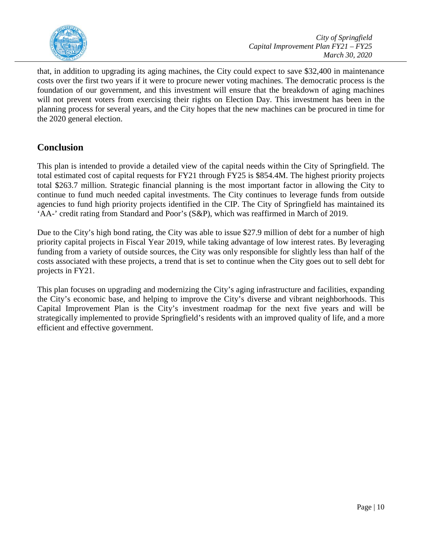

that, in addition to upgrading its aging machines, the City could expect to save \$32,400 in maintenance costs over the first two years if it were to procure newer voting machines. The democratic process is the foundation of our government, and this investment will ensure that the breakdown of aging machines will not prevent voters from exercising their rights on Election Day. This investment has been in the planning process for several years, and the City hopes that the new machines can be procured in time for the 2020 general election.

## <span id="page-15-0"></span>**Conclusion**

This plan is intended to provide a detailed view of the capital needs within the City of Springfield. The total estimated cost of capital requests for FY21 through FY25 is \$854.4M. The highest priority projects total \$263.7 million. Strategic financial planning is the most important factor in allowing the City to continue to fund much needed capital investments. The City continues to leverage funds from outside agencies to fund high priority projects identified in the CIP. The City of Springfield has maintained its 'AA-' credit rating from Standard and Poor's (S&P), which was reaffirmed in March of 2019.

Due to the City's high bond rating, the City was able to issue \$27.9 million of debt for a number of high priority capital projects in Fiscal Year 2019, while taking advantage of low interest rates. By leveraging funding from a variety of outside sources, the City was only responsible for slightly less than half of the costs associated with these projects, a trend that is set to continue when the City goes out to sell debt for projects in FY21.

This plan focuses on upgrading and modernizing the City's aging infrastructure and facilities, expanding the City's economic base, and helping to improve the City's diverse and vibrant neighborhoods. This Capital Improvement Plan is the City's investment roadmap for the next five years and will be strategically implemented to provide Springfield's residents with an improved quality of life, and a more efficient and effective government.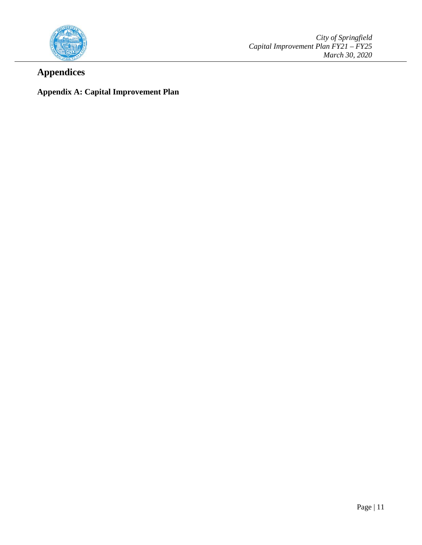

*City of Springfield Capital Improvement Plan FY21 – FY25 March 30, 2020*

## <span id="page-16-0"></span>**Appendices**

## <span id="page-16-1"></span>**Appendix A: Capital Improvement Plan**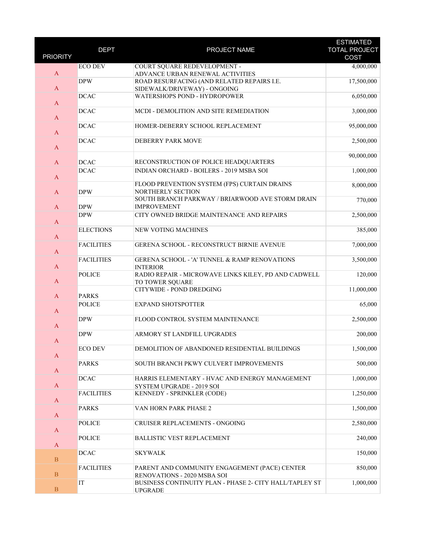| <b>PRIORITY</b> | <b>DEPT</b>       | PROJECT NAME                                                                   | <b>ESTIMATED</b><br><b>TOTAL PROJECT</b> |
|-----------------|-------------------|--------------------------------------------------------------------------------|------------------------------------------|
|                 |                   |                                                                                | <b>COST</b>                              |
|                 | <b>ECO DEV</b>    | COURT SQUARE REDEVELOPMENT -                                                   | 4,000,000                                |
| $\mathbf{A}$    | <b>DPW</b>        | ADVANCE URBAN RENEWAL ACTIVITIES<br>ROAD RESURFACING (AND RELATED REPAIRS I.E. | 17,500,000                               |
| $\mathbf{A}$    |                   |                                                                                |                                          |
|                 |                   | SIDEWALK/DRIVEWAY) - ONGOING                                                   |                                          |
| $\mathbf{A}$    | <b>DCAC</b>       | WATERSHOPS POND - HYDROPOWER                                                   | 6,050,000                                |
|                 | <b>DCAC</b>       | MCDI - DEMOLITION AND SITE REMEDIATION                                         | 3,000,000                                |
| $\mathbf{A}$    |                   |                                                                                |                                          |
|                 | <b>DCAC</b>       | HOMER-DEBERRY SCHOOL REPLACEMENT                                               | 95,000,000                               |
| $\mathbf A$     |                   |                                                                                |                                          |
|                 | <b>DCAC</b>       | <b>DEBERRY PARK MOVE</b>                                                       | 2,500,000                                |
| $\mathbf{A}$    |                   |                                                                                |                                          |
|                 |                   |                                                                                | 90,000,000                               |
| $\mathbf{A}$    | <b>DCAC</b>       | RECONSTRUCTION OF POLICE HEADQUARTERS                                          |                                          |
|                 | <b>DCAC</b>       | INDIAN ORCHARD - BOILERS - 2019 MSBA SOI                                       | 1,000,000                                |
| $\mathbf{A}$    |                   |                                                                                |                                          |
|                 |                   | FLOOD PREVENTION SYSTEM (FPS) CURTAIN DRAINS                                   | 8,000,000                                |
| $\mathbf{A}$    | <b>DPW</b>        | <b>NORTHERLY SECTION</b>                                                       |                                          |
|                 |                   | SOUTH BRANCH PARKWAY / BRIARWOOD AVE STORM DRAIN                               | 770,000                                  |
| $\mathbf{A}$    | <b>DPW</b>        | <b>IMPROVEMENT</b>                                                             |                                          |
|                 | <b>DPW</b>        | CITY OWNED BRIDGE MAINTENANCE AND REPAIRS                                      | 2,500,000                                |
| $\mathbf{A}$    |                   |                                                                                |                                          |
|                 | <b>ELECTIONS</b>  | <b>NEW VOTING MACHINES</b>                                                     | 385,000                                  |
| $\mathbf{A}$    |                   |                                                                                |                                          |
|                 | <b>FACILITIES</b> | GERENA SCHOOL - RECONSTRUCT BIRNIE AVENUE                                      | 7,000,000                                |
| $\mathbf{A}$    |                   |                                                                                |                                          |
| $\mathbf{A}$    | <b>FACILITIES</b> | <b>GERENA SCHOOL - 'A' TUNNEL &amp; RAMP RENOVATIONS</b>                       | 3,500,000                                |
|                 | <b>POLICE</b>     | <b>INTERIOR</b><br>RADIO REPAIR - MICROWAVE LINKS KILEY, PD AND CADWELL        | 120,000                                  |
| $\mathbf{A}$    |                   | TO TOWER SQUARE                                                                |                                          |
|                 |                   | CITYWIDE - POND DREDGING                                                       | 11,000,000                               |
| $\mathbf{A}$    | <b>PARKS</b>      |                                                                                |                                          |
|                 | <b>POLICE</b>     | <b>EXPAND SHOTSPOTTER</b>                                                      | 65,000                                   |
| $\mathbf{A}$    |                   |                                                                                |                                          |
|                 | <b>DPW</b>        | FLOOD CONTROL SYSTEM MAINTENANCE                                               | 2,500,000                                |
| $\mathbf{A}$    |                   |                                                                                |                                          |
|                 | <b>DPW</b>        | ARMORY ST LANDFILL UPGRADES                                                    | 200,000                                  |
| $\mathbf{A}$    |                   |                                                                                |                                          |
|                 | <b>ECO DEV</b>    | DEMOLITION OF ABANDONED RESIDENTIAL BUILDINGS                                  | 1,500,000                                |
| A               |                   |                                                                                |                                          |
|                 | <b>PARKS</b>      | SOUTH BRANCH PKWY CULVERT IMPROVEMENTS                                         | 500,000                                  |
| $\mathbf{A}$    |                   |                                                                                |                                          |
|                 | <b>DCAC</b>       | HARRIS ELEMENTARY - HVAC AND ENERGY MANAGEMENT                                 | 1,000,000                                |
| $\mathbf{A}$    |                   | SYSTEM UPGRADE - 2019 SOI                                                      |                                          |
|                 | <b>FACILITIES</b> | KENNEDY - SPRINKLER (CODE)                                                     | 1,250,000                                |
| $\mathbf{A}$    |                   |                                                                                |                                          |
|                 | <b>PARKS</b>      | VAN HORN PARK PHASE 2                                                          | 1,500,000                                |
| $\mathbf A$     |                   |                                                                                |                                          |
| $\mathbf{A}$    | <b>POLICE</b>     | CRUISER REPLACEMENTS - ONGOING                                                 | 2,580,000                                |
|                 | <b>POLICE</b>     | <b>BALLISTIC VEST REPLACEMENT</b>                                              | 240,000                                  |
| $\mathbf{A}$    |                   |                                                                                |                                          |
|                 | <b>DCAC</b>       | <b>SKYWALK</b>                                                                 | 150,000                                  |
| $\mathbf{B}$    |                   |                                                                                |                                          |
|                 | <b>FACILITIES</b> | PARENT AND COMMUNITY ENGAGEMENT (PACE) CENTER                                  | 850,000                                  |
| $\overline{B}$  |                   | RENOVATIONS - 2020 MSBA SOI                                                    |                                          |
|                 | IT                | BUSINESS CONTINUITY PLAN - PHASE 2- CITY HALL/TAPLEY ST                        | 1,000,000                                |
| $\, {\bf B}$    |                   | <b>UPGRADE</b>                                                                 |                                          |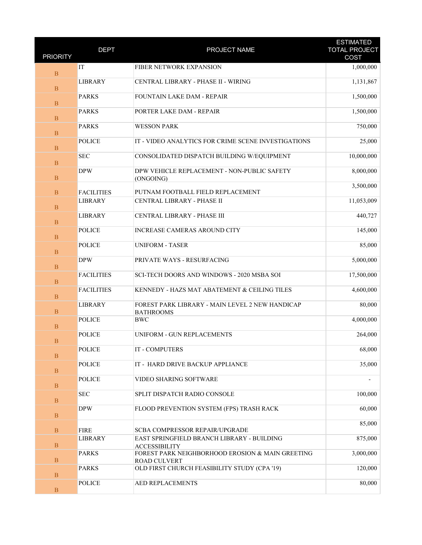| <b>PRIORITY</b> | <b>DEPT</b>                   | PROJECT NAME                                                                        | <b>ESTIMATED</b><br><b>TOTAL PROJECT</b><br>COST |
|-----------------|-------------------------------|-------------------------------------------------------------------------------------|--------------------------------------------------|
| $\mathbf{B}$    | IT                            | FIBER NETWORK EXPANSION                                                             | 1,000,000                                        |
| $\, {\bf B}$    | <b>LIBRARY</b>                | CENTRAL LIBRARY - PHASE II - WIRING                                                 | 1,131,867                                        |
| $\, {\bf B}$    | <b>PARKS</b>                  | <b>FOUNTAIN LAKE DAM - REPAIR</b>                                                   | 1,500,000                                        |
| $\mathbf{B}$    | <b>PARKS</b>                  | PORTER LAKE DAM - REPAIR                                                            | 1,500,000                                        |
| $\mathbf B$     | <b>PARKS</b>                  | <b>WESSON PARK</b>                                                                  | 750,000                                          |
| $\mathbf{B}$    | <b>POLICE</b>                 | IT - VIDEO ANALYTICS FOR CRIME SCENE INVESTIGATIONS                                 | 25,000                                           |
| B               | <b>SEC</b>                    | CONSOLIDATED DISPATCH BUILDING W/EQUIPMENT                                          | 10,000,000                                       |
| $\, {\bf B}$    | <b>DPW</b>                    | DPW VEHICLE REPLACEMENT - NON-PUBLIC SAFETY<br>(ONGOING)                            | 8,000,000                                        |
| $\mathbf{B}$    | <b>FACILITIES</b>             | PUTNAM FOOTBALL FIELD REPLACEMENT                                                   | 3,500,000                                        |
| $\mathbf B$     | <b>LIBRARY</b>                | CENTRAL LIBRARY - PHASE II                                                          | 11,053,009                                       |
| $\mathbf{B}$    | <b>LIBRARY</b>                | CENTRAL LIBRARY - PHASE III                                                         | 440,727                                          |
| B               | <b>POLICE</b>                 | <b>INCREASE CAMERAS AROUND CITY</b>                                                 | 145,000                                          |
| $\, {\bf B}$    | <b>POLICE</b>                 | <b>UNIFORM - TASER</b>                                                              | 85,000                                           |
| $\mathbf{B}$    | <b>DPW</b>                    | PRIVATE WAYS - RESURFACING                                                          | 5,000,000                                        |
| B               | <b>FACILITIES</b>             | <b>SCI-TECH DOORS AND WINDOWS - 2020 MSBA SOI</b>                                   | 17,500,000                                       |
| $\mathbf{B}$    | <b>FACILITIES</b>             | KENNEDY - HAZS MAT ABATEMENT & CEILING TILES                                        | 4,600,000                                        |
| B               | <b>LIBRARY</b>                | FOREST PARK LIBRARY - MAIN LEVEL 2 NEW HANDICAP<br><b>BATHROOMS</b>                 | 80,000                                           |
| $\, {\bf B}$    | <b>POLICE</b>                 | <b>BWC</b>                                                                          | 4,000,000                                        |
| $\mathbf B$     | <b>POLICE</b>                 | UNIFORM - GUN REPLACEMENTS                                                          | 264,000                                          |
| B               | <b>POLICE</b>                 | IT - COMPUTERS                                                                      | 68,000                                           |
| $\mathbf{B}$    | <b>POLICE</b>                 | IT - HARD DRIVE BACKUP APPLIANCE                                                    | 35,000                                           |
| $\mathbf{B}$    | <b>POLICE</b>                 | VIDEO SHARING SOFTWARE<br>SPLIT DISPATCH RADIO CONSOLE                              |                                                  |
| $\mathbf{B}$    | <b>SEC</b><br><b>DPW</b>      | FLOOD PREVENTION SYSTEM (FPS) TRASH RACK                                            | 100,000<br>60,000                                |
| B               |                               |                                                                                     | 85,000                                           |
| $\mathbf{B}$    | <b>FIRE</b><br><b>LIBRARY</b> | <b>SCBA COMPRESSOR REPAIR/UPGRADE</b><br>EAST SPRINGFIELD BRANCH LIBRARY - BUILDING |                                                  |
| $\mathbf{B}$    |                               | <b>ACCESSIBILITY</b><br>FOREST PARK NEIGHBORHOOD EROSION & MAIN GREETING            | 875,000<br>3,000,000                             |
| $\mathbf{B}$    | <b>PARKS</b>                  | <b>ROAD CULVERT</b>                                                                 |                                                  |
| $\mathbf{B}$    | <b>PARKS</b><br><b>POLICE</b> | OLD FIRST CHURCH FEASIBILITY STUDY (CPA '19)<br>AED REPLACEMENTS                    | 120,000<br>80,000                                |
| $\, {\bf B}$    |                               |                                                                                     |                                                  |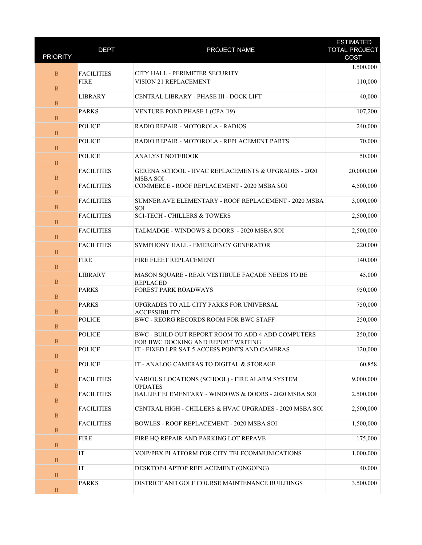| <b>PRIORITY</b> | <b>DEPT</b>       | PROJECT NAME                                                                             | <b>ESTIMATED</b><br><b>TOTAL PROJECT</b><br>COST |
|-----------------|-------------------|------------------------------------------------------------------------------------------|--------------------------------------------------|
|                 |                   |                                                                                          |                                                  |
| $\overline{B}$  | <b>FACILITIES</b> | CITY HALL - PERIMETER SECURITY                                                           | 1,500,000                                        |
| $\overline{B}$  | <b>FIRE</b>       | VISION 21 REPLACEMENT                                                                    | 110,000                                          |
| $\mathbf{B}$    | <b>LIBRARY</b>    | CENTRAL LIBRARY - PHASE III - DOCK LIFT                                                  | 40,000                                           |
| $\, {\bf B}$    | <b>PARKS</b>      | <b>VENTURE POND PHASE 1 (CPA '19)</b>                                                    | 107,200                                          |
| B               | <b>POLICE</b>     | RADIO REPAIR - MOTOROLA - RADIOS                                                         | 240,000                                          |
| $\mathbf{B}$    | <b>POLICE</b>     | RADIO REPAIR - MOTOROLA - REPLACEMENT PARTS                                              | 70,000                                           |
| $\mathbf B$     | <b>POLICE</b>     | ANALYST NOTEBOOK                                                                         | 50,000                                           |
| $\mathbf{B}$    | <b>FACILITIES</b> | GERENA SCHOOL - HVAC REPLACEMENTS & UPGRADES - 2020<br><b>MSBA SOI</b>                   | 20,000,000                                       |
| $\, {\bf B}$    | <b>FACILITIES</b> | COMMERCE - ROOF REPLACEMENT - 2020 MSBA SOI                                              | 4,500,000                                        |
| B               | <b>FACILITIES</b> | SUMNER AVE ELEMENTARY - ROOF REPLACEMENT - 2020 MSBA<br>SOI                              | 3,000,000                                        |
| $\mathbf{B}$    | <b>FACILITIES</b> | <b>SCI-TECH - CHILLERS &amp; TOWERS</b>                                                  | 2,500,000                                        |
| $\mathbf B$     | <b>FACILITIES</b> | TALMADGE - WINDOWS & DOORS - 2020 MSBA SOI                                               | 2,500,000                                        |
| $\mathbf{B}$    | <b>FACILITIES</b> | SYMPHONY HALL - EMERGENCY GENERATOR                                                      | 220,000                                          |
| $\, {\bf B}$    | <b>FIRE</b>       | FIRE FLEET REPLACEMENT                                                                   | 140,000                                          |
| B               | <b>LIBRARY</b>    | MASON SQUARE - REAR VESTIBULE FAÇADE NEEDS TO BE<br><b>REPLACED</b>                      | 45,000                                           |
| $\mathbf{B}$    | <b>PARKS</b>      | FOREST PARK ROADWAYS                                                                     | 950,000                                          |
| $\mathbf B$     | <b>PARKS</b>      | UPGRADES TO ALL CITY PARKS FOR UNIVERSAL<br><b>ACCESSIBILITY</b>                         | 750,000                                          |
| $\mathbf{B}$    | <b>POLICE</b>     | BWC - REORG RECORDS ROOM FOR BWC STAFF                                                   | 250,000                                          |
| $\mathbf B$     | <b>POLICE</b>     | BWC - BUILD OUT REPORT ROOM TO ADD 4 ADD COMPUTERS<br>FOR BWC DOCKING AND REPORT WRITING | 250,000                                          |
| $\mathbf B$     | <b>POLICE</b>     | IT - FIXED LPR SAT 5 ACCESS POINTS AND CAMERAS                                           | 120,000                                          |
| $\mathbf{B}$    | <b>POLICE</b>     | IT - ANALOG CAMERAS TO DIGITAL & STORAGE                                                 | 60,858                                           |
| $\mathbf B$     | <b>FACILITIES</b> | VARIOUS LOCATIONS (SCHOOL) - FIRE ALARM SYSTEM<br><b>UPDATES</b>                         | 9,000,000                                        |
| $\mathbf{B}$    | <b>FACILITIES</b> | BALLIET ELEMENTARY - WINDOWS & DOORS - 2020 MSBA SOI                                     | 2,500,000                                        |
| $\, {\bf B}$    | <b>FACILITIES</b> | CENTRAL HIGH - CHILLERS & HVAC UPGRADES - 2020 MSBA SOI                                  | 2,500,000                                        |
| $\mathbf{B}$    | <b>FACILITIES</b> | BOWLES - ROOF REPLACEMENT - 2020 MSBA SOI                                                | 1,500,000                                        |
| B               | <b>FIRE</b>       | FIRE HQ REPAIR AND PARKING LOT REPAVE                                                    | 175,000                                          |
| $\mathbf B$     | IT                | VOIP/PBX PLATFORM FOR CITY TELECOMMUNICATIONS                                            | 1,000,000                                        |
| $\mathbf{B}$    | IT                | DESKTOP/LAPTOP REPLACEMENT (ONGOING)                                                     | 40,000                                           |
| $\, {\bf B}$    | <b>PARKS</b>      | DISTRICT AND GOLF COURSE MAINTENANCE BUILDINGS                                           | 3,500,000                                        |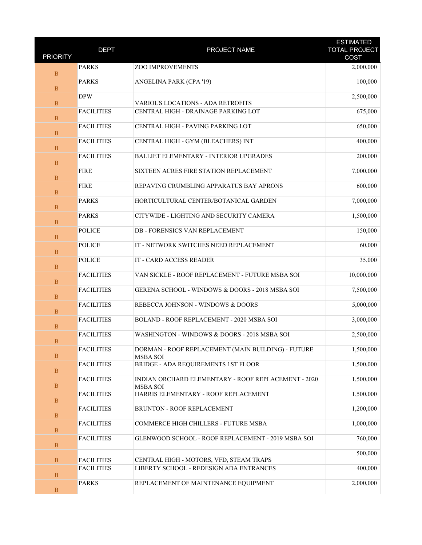| <b>PRIORITY</b>   | <b>DEPT</b>       | PROJECT NAME                                                           | <b>ESTIMATED</b><br><b>TOTAL PROJECT</b><br>COST |
|-------------------|-------------------|------------------------------------------------------------------------|--------------------------------------------------|
|                   | <b>PARKS</b>      | <b>ZOO IMPROVEMENTS</b>                                                | 2,000,000                                        |
| $\mathbf{B}$      | <b>PARKS</b>      |                                                                        | 100,000                                          |
| B                 |                   | ANGELINA PARK (CPA '19)                                                |                                                  |
| $\, {\bf B}$      | <b>DPW</b>        | VARIOUS LOCATIONS - ADA RETROFITS                                      | 2,500,000                                        |
|                   | <b>FACILITIES</b> | CENTRAL HIGH - DRAINAGE PARKING LOT                                    | 675,000                                          |
| $\mathbf{B}$<br>B | <b>FACILITIES</b> | CENTRAL HIGH - PAVING PARKING LOT                                      | 650,000                                          |
| $\mathbf{B}$      | <b>FACILITIES</b> | CENTRAL HIGH - GYM (BLEACHERS) INT                                     | 400,000                                          |
| B                 | <b>FACILITIES</b> | <b>BALLIET ELEMENTARY - INTERIOR UPGRADES</b>                          | 200,000                                          |
| $\, {\bf B}$      | <b>FIRE</b>       | SIXTEEN ACRES FIRE STATION REPLACEMENT                                 | 7,000,000                                        |
| $\mathbf{B}$      | <b>FIRE</b>       | REPAVING CRUMBLING APPARATUS BAY APRONS                                | 600,000                                          |
| B                 | <b>PARKS</b>      | HORTICULTURAL CENTER/BOTANICAL GARDEN                                  | 7,000,000                                        |
| $\mathbf{B}$      | <b>PARKS</b>      | CITYWIDE - LIGHTING AND SECURITY CAMERA                                | 1,500,000                                        |
| B                 | <b>POLICE</b>     | <b>DB - FORENSICS VAN REPLACEMENT</b>                                  | 150,000                                          |
| $\, {\bf B}$      | <b>POLICE</b>     | IT - NETWORK SWITCHES NEED REPLACEMENT                                 | 60,000                                           |
| $\mathbf{B}$      | <b>POLICE</b>     | IT - CARD ACCESS READER                                                | 35,000                                           |
| B                 | <b>FACILITIES</b> | VAN SICKLE - ROOF REPLACEMENT - FUTURE MSBA SOI                        | 10,000,000                                       |
| $\mathbf{B}$      | <b>FACILITIES</b> | GERENA SCHOOL - WINDOWS & DOORS - 2018 MSBA SOI                        | 7,500,000                                        |
| B                 | <b>FACILITIES</b> | REBECCA JOHNSON - WINDOWS & DOORS                                      | 5,000,000                                        |
| $\, {\bf B}$      | <b>FACILITIES</b> | BOLAND - ROOF REPLACEMENT - 2020 MSBA SOI                              | 3,000,000                                        |
| $\mathbf B$       | <b>FACILITIES</b> | WASHINGTON - WINDOWS & DOORS - 2018 MSBA SOI                           | 2,500,000                                        |
| $\mathbf B$       | <b>FACILITIES</b> | DORMAN - ROOF REPLACEMENT (MAIN BUILDING) - FUTURE<br><b>MSBA SOI</b>  | 1,500,000                                        |
| $\, {\bf B}$      | <b>FACILITIES</b> | BRIDGE - ADA REQUIREMENTS 1ST FLOOR                                    | 1,500,000                                        |
| $\mathbf B$       | <b>FACILITIES</b> | INDIAN ORCHARD ELEMENTARY - ROOF REPLACEMENT - 2020<br><b>MSBA SOI</b> | 1,500,000                                        |
| $\, {\bf B}$      | <b>FACILITIES</b> | HARRIS ELEMENTARY - ROOF REPLACEMENT                                   | 1,500,000                                        |
| $\, {\bf B}$      | <b>FACILITIES</b> | BRUNTON - ROOF REPLACEMENT                                             | 1,200,000                                        |
| $\, {\bf B}$      | <b>FACILITIES</b> | COMMERCE HIGH CHILLERS - FUTURE MSBA                                   | 1,000,000                                        |
| $\, {\bf B}$      | <b>FACILITIES</b> | GLENWOOD SCHOOL - ROOF REPLACEMENT - 2019 MSBA SOI                     | 760,000                                          |
| $\mathbf{B}$      | <b>FACILITIES</b> | CENTRAL HIGH - MOTORS, VFD, STEAM TRAPS                                | 500,000                                          |
| $\, {\bf B}$      | <b>FACILITIES</b> | LIBERTY SCHOOL - REDESIGN ADA ENTRANCES                                | 400,000                                          |
| $\, {\bf B}$      | <b>PARKS</b>      | REPLACEMENT OF MAINTENANCE EQUIPMENT                                   | 2,000,000                                        |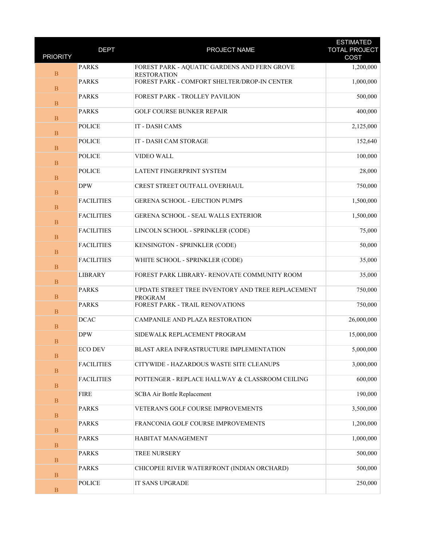| <b>PRIORITY</b> | <b>DEPT</b>       | PROJECT NAME                                                        | <b>ESTIMATED</b><br><b>TOTAL PROJECT</b><br>COST |
|-----------------|-------------------|---------------------------------------------------------------------|--------------------------------------------------|
|                 | <b>PARKS</b>      | FOREST PARK - AQUATIC GARDENS AND FERN GROVE                        | 1,200,000                                        |
| $\mathbf{B}$    |                   | <b>RESTORATION</b>                                                  |                                                  |
| $\overline{B}$  | <b>PARKS</b>      | FOREST PARK - COMFORT SHELTER/DROP-IN CENTER                        | 1,000,000                                        |
| $\, {\bf B}$    | <b>PARKS</b>      | FOREST PARK - TROLLEY PAVILION                                      | 500,000                                          |
| $\mathbf{B}$    | <b>PARKS</b>      | <b>GOLF COURSE BUNKER REPAIR</b>                                    | 400,000                                          |
| B               | <b>POLICE</b>     | IT - DASH CAMS                                                      | 2,125,000                                        |
| $\mathbf{B}$    | <b>POLICE</b>     | IT - DASH CAM STORAGE                                               | 152,640                                          |
| $\overline{B}$  | <b>POLICE</b>     | VIDEO WALL                                                          | 100,000                                          |
| $\, {\bf B}$    | <b>POLICE</b>     | LATENT FINGERPRINT SYSTEM                                           | 28,000                                           |
| $\mathbf{B}$    | <b>DPW</b>        | CREST STREET OUTFALL OVERHAUL                                       | 750,000                                          |
| B               | <b>FACILITIES</b> | GERENA SCHOOL - EJECTION PUMPS                                      | 1,500,000                                        |
| $\mathbf{B}$    | <b>FACILITIES</b> | <b>GERENA SCHOOL - SEAL WALLS EXTERIOR</b>                          | 1,500,000                                        |
| $\overline{B}$  | <b>FACILITIES</b> | LINCOLN SCHOOL - SPRINKLER (CODE)                                   | 75,000                                           |
| $\, {\bf B}$    | <b>FACILITIES</b> | KENSINGTON - SPRINKLER (CODE)                                       | 50,000                                           |
| $\mathbf{B}$    | <b>FACILITIES</b> | WHITE SCHOOL - SPRINKLER (CODE)                                     | 35,000                                           |
| B               | <b>LIBRARY</b>    | FOREST PARK LIBRARY- RENOVATE COMMUNITY ROOM                        | 35,000                                           |
| $\mathbf{B}$    | <b>PARKS</b>      | UPDATE STREET TREE INVENTORY AND TREE REPLACEMENT<br><b>PROGRAM</b> | 750,000                                          |
| $\overline{B}$  | <b>PARKS</b>      | FOREST PARK - TRAIL RENOVATIONS                                     | 750,000                                          |
| $\, {\bf B}$    | <b>DCAC</b>       | CAMPANILE AND PLAZA RESTORATION                                     | 26,000,000                                       |
| $\mathbf B$     | <b>DPW</b>        | SIDEWALK REPLACEMENT PROGRAM                                        | 15,000,000                                       |
| $\mathbf B$     | ECO DEV           | BLAST AREA INFRASTRUCTURE IMPLEMENTATION                            | 5,000,000                                        |
| $\, {\bf B}$    | <b>FACILITIES</b> | CITYWIDE - HAZARDOUS WASTE SITE CLEANUPS                            | 3,000,000                                        |
| $\, {\bf B}$    | <b>FACILITIES</b> | POTTENGER - REPLACE HALLWAY & CLASSROOM CEILING                     | 600,000                                          |
| $\, {\bf B}$    | <b>FIRE</b>       | SCBA Air Bottle Replacement                                         | 190,000                                          |
| $\, {\bf B}$    | <b>PARKS</b>      | VETERAN'S GOLF COURSE IMPROVEMENTS                                  | 3,500,000                                        |
| $\, {\bf B}$    | <b>PARKS</b>      | FRANCONIA GOLF COURSE IMPROVEMENTS                                  | 1,200,000                                        |
| $\, {\bf B}$    | <b>PARKS</b>      | HABITAT MANAGEMENT                                                  | 1,000,000                                        |
| $\mathbf B$     | <b>PARKS</b>      | TREE NURSERY                                                        | 500,000                                          |
| $\, {\bf B}$    | <b>PARKS</b>      | CHICOPEE RIVER WATERFRONT (INDIAN ORCHARD)                          | 500,000                                          |
| $\, {\bf B}$    | <b>POLICE</b>     | IT SANS UPGRADE                                                     | 250,000                                          |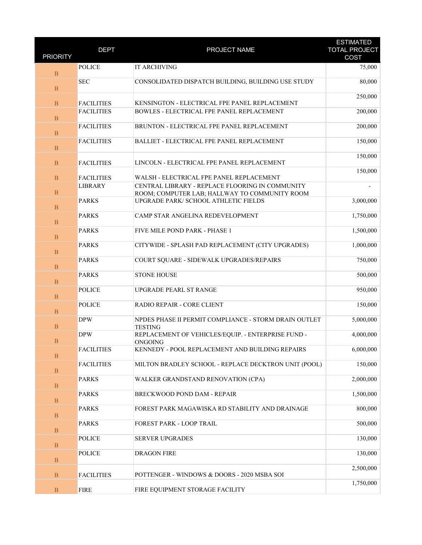| <b>PRIORITY</b> | <b>DEPT</b>       | PROJECT NAME                                                            | <b>ESTIMATED</b><br><b>TOTAL PROJECT</b> |
|-----------------|-------------------|-------------------------------------------------------------------------|------------------------------------------|
|                 |                   |                                                                         | COST                                     |
| $\mathbf{B}$    | <b>POLICE</b>     | <b>IT ARCHIVING</b>                                                     | 75,000                                   |
| $\overline{B}$  | <b>SEC</b>        | CONSOLIDATED DISPATCH BUILDING, BUILDING USE STUDY                      | 80,000                                   |
| $\mathbf{B}$    | <b>FACILITIES</b> | KENSINGTON - ELECTRICAL FPE PANEL REPLACEMENT                           | 250,000                                  |
| $\, {\bf B}$    | <b>FACILITIES</b> | BOWLES - ELECTRICAL FPE PANEL REPLACEMENT                               | 200,000                                  |
| B               | <b>FACILITIES</b> | BRUNTON - ELECTRICAL FPE PANEL REPLACEMENT                              | 200,000                                  |
| $\mathbf{B}$    | <b>FACILITIES</b> | BALLIET - ELECTRICAL FPE PANEL REPLACEMENT                              | 150,000                                  |
| $\overline{B}$  | <b>FACILITIES</b> | LINCOLN - ELECTRICAL FPE PANEL REPLACEMENT                              | 150,000                                  |
| $\mathbf{B}$    | <b>FACILITIES</b> | WALSH - ELECTRICAL FPE PANEL REPLACEMENT                                | 150,000                                  |
|                 | <b>LIBRARY</b>    | CENTRAL LIBRARY - REPLACE FLOORING IN COMMUNITY                         |                                          |
| $\, {\bf B}$    |                   | ROOM; COMPUTER LAB; HALLWAY TO COMMUNITY ROOM                           |                                          |
| B               | <b>PARKS</b>      | UPGRADE PARK/ SCHOOL ATHLETIC FIELDS                                    | 3,000,000                                |
| $\mathbf{B}$    | <b>PARKS</b>      | CAMP STAR ANGELINA REDEVELOPMENT                                        | 1,750,000                                |
| $\, {\bf B}$    | <b>PARKS</b>      | FIVE MILE POND PARK - PHASE 1                                           | 1,500,000                                |
| $\mathbf{B}$    | <b>PARKS</b>      | CITYWIDE - SPLASH PAD REPLACEMENT (CITY UPGRADES)                       | 1,000,000                                |
| $\, {\bf B}$    | <b>PARKS</b>      | COURT SQUARE - SIDEWALK UPGRADES/REPAIRS                                | 750,000                                  |
| B               | <b>PARKS</b>      | <b>STONE HOUSE</b>                                                      | 500,000                                  |
| $\mathbf{B}$    | <b>POLICE</b>     | <b>UPGRADE PEARL ST RANGE</b>                                           | 950,000                                  |
| $\overline{B}$  | <b>POLICE</b>     | RADIO REPAIR - CORE CLIENT                                              | 150,000                                  |
| $\mathbf{B}$    | <b>DPW</b>        | NPDES PHASE II PERMIT COMPLIANCE - STORM DRAIN OUTLET<br><b>TESTING</b> | 5,000,000                                |
| $\mathbf B$     | <b>DPW</b>        | REPLACEMENT OF VEHICLES/EQUIP. - ENTERPRISE FUND -<br>ONGOING           | 4,000,000                                |
| $\, {\bf B}$    | <b>FACILITIES</b> | KENNEDY - POOL REPLACEMENT AND BUILDING REPAIRS                         | 6,000,000                                |
| $\mathbf{B}$    | <b>FACILITIES</b> | MILTON BRADLEY SCHOOL - REPLACE DECKTRON UNIT (POOL)                    | 150,000                                  |
| $\mathbf B$     | <b>PARKS</b>      | WALKER GRANDSTAND RENOVATION (CPA)                                      | 2,000,000                                |
| $\, {\bf B}$    | <b>PARKS</b>      | <b>BRECKWOOD POND DAM - REPAIR</b>                                      | 1,500,000                                |
| $\, {\bf B}$    | <b>PARKS</b>      | FOREST PARK MAGAWISKA RD STABILITY AND DRAINAGE                         | 800,000                                  |
| $\, {\bf B}$    | <b>PARKS</b>      | FOREST PARK - LOOP TRAIL                                                | 500,000                                  |
| $\mathbf{B}$    | <b>POLICE</b>     | <b>SERVER UPGRADES</b>                                                  | 130,000                                  |
| $\mathbf B$     | <b>POLICE</b>     | <b>DRAGON FIRE</b>                                                      | 130,000                                  |
| $\, {\bf B}$    | <b>FACILITIES</b> | POTTENGER - WINDOWS & DOORS - 2020 MSBA SOI                             | 2,500,000                                |
| $\, {\bf B}$    | <b>FIRE</b>       | FIRE EQUIPMENT STORAGE FACILITY                                         | 1,750,000                                |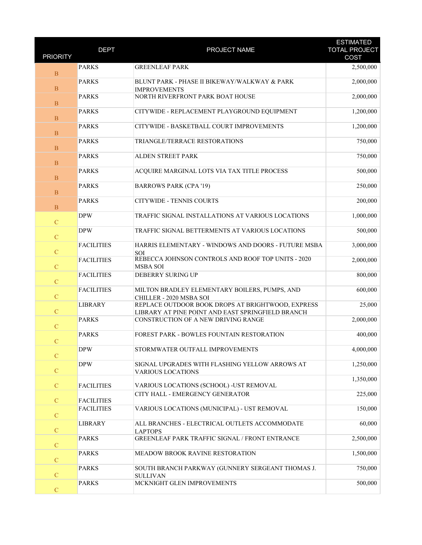| <b>PRIORITY</b> | <b>DEPT</b>       | PROJECT NAME                                                                                           | <b>ESTIMATED</b><br><b>TOTAL PROJECT</b><br>COST |
|-----------------|-------------------|--------------------------------------------------------------------------------------------------------|--------------------------------------------------|
|                 | <b>PARKS</b>      | <b>GREENLEAF PARK</b>                                                                                  |                                                  |
| B               |                   |                                                                                                        | 2,500,000                                        |
| $\mathbf B$     | <b>PARKS</b>      | BLUNT PARK - PHASE II BIKEWAY/WALKWAY & PARK<br><b>IMPROVEMENTS</b>                                    | 2,000,000                                        |
| $\mathbf{B}$    | <b>PARKS</b>      | NORTH RIVERFRONT PARK BOAT HOUSE                                                                       | 2,000,000                                        |
| $\mathbf{B}$    | <b>PARKS</b>      | CITYWIDE - REPLACEMENT PLAYGROUND EQUIPMENT                                                            | 1,200,000                                        |
| $\mathbf{B}$    | <b>PARKS</b>      | CITYWIDE - BASKETBALL COURT IMPROVEMENTS                                                               | 1,200,000                                        |
| $\mathbf{B}$    | <b>PARKS</b>      | TRIANGLE/TERRACE RESTORATIONS                                                                          | 750,000                                          |
| $\mathbf B$     | <b>PARKS</b>      | <b>ALDEN STREET PARK</b>                                                                               | 750,000                                          |
| $\mathbf{B}$    | <b>PARKS</b>      | ACQUIRE MARGINAL LOTS VIA TAX TITLE PROCESS                                                            | 500,000                                          |
| $\mathbf{B}$    | <b>PARKS</b>      | <b>BARROWS PARK (CPA '19)</b>                                                                          | 250,000                                          |
| $\, {\bf B}$    | <b>PARKS</b>      | <b>CITYWIDE - TENNIS COURTS</b>                                                                        | 200,000                                          |
| $\mathbf C$     | <b>DPW</b>        | TRAFFIC SIGNAL INSTALLATIONS AT VARIOUS LOCATIONS                                                      | 1,000,000                                        |
| $\mathbf C$     | <b>DPW</b>        | TRAFFIC SIGNAL BETTERMENTS AT VARIOUS LOCATIONS                                                        | 500,000                                          |
| $\mathbf C$     | <b>FACILITIES</b> | HARRIS ELEMENTARY - WINDOWS AND DOORS - FUTURE MSBA<br>SOI                                             | 3,000,000                                        |
| $\mathbf C$     | <b>FACILITIES</b> | REBECCA JOHNSON CONTROLS AND ROOF TOP UNITS - 2020<br><b>MSBA SOI</b>                                  | 2,000,000                                        |
| $\overline{C}$  | <b>FACILITIES</b> | DEBERRY SURING UP                                                                                      | 800,000                                          |
| $\mathbf C$     | <b>FACILITIES</b> | MILTON BRADLEY ELEMENTARY BOILERS, PUMPS, AND<br>CHILLER - 2020 MSBA SOI                               | 600,000                                          |
| $\mathbf C$     | <b>LIBRARY</b>    | REPLACE OUTDOOR BOOK DROPS AT BRIGHTWOOD, EXPRESS<br>LIBRARY AT PINE POINT AND EAST SPRINGFIELD BRANCH | 25,000                                           |
| $\mathbf C$     | <b>PARKS</b>      | CONSTRUCTION OF A NEW DRIVING RANGE                                                                    | 2,000,000                                        |
| $\mathbf C$     | <b>PARKS</b>      | FOREST PARK - BOWLES FOUNTAIN RESTORATION                                                              | 400,000                                          |
| $\overline{C}$  | <b>DPW</b>        | STORMWATER OUTFALL IMPROVEMENTS                                                                        | 4,000,000                                        |
| $\mathbf C$     | <b>DPW</b>        | SIGNAL UPGRADES WITH FLASHING YELLOW ARROWS AT<br><b>VARIOUS LOCATIONS</b>                             | 1,250,000                                        |
| ${\bf C}$       | <b>FACILITIES</b> | VARIOUS LOCATIONS (SCHOOL) - UST REMOVAL                                                               | 1,350,000                                        |
| $\mathcal{C}$   | <b>FACILITIES</b> | CITY HALL - EMERGENCY GENERATOR                                                                        | 225,000                                          |
| $\mathbf C$     | <b>FACILITIES</b> | VARIOUS LOCATIONS (MUNICIPAL) - UST REMOVAL                                                            | 150,000                                          |
| $\mathbf C$     | <b>LIBRARY</b>    | ALL BRANCHES - ELECTRICAL OUTLETS ACCOMMODATE<br><b>LAPTOPS</b>                                        | 60,000                                           |
| $\mathcal{C}$   | <b>PARKS</b>      | <b>GREENLEAF PARK TRAFFIC SIGNAL / FRONT ENTRANCE</b>                                                  | 2,500,000                                        |
| $\mathbf C$     | <b>PARKS</b>      | MEADOW BROOK RAVINE RESTORATION                                                                        | 1,500,000                                        |
| $\mathbf C$     | <b>PARKS</b>      | SOUTH BRANCH PARKWAY (GUNNERY SERGEANT THOMAS J.<br><b>SULLIVAN</b>                                    | 750,000                                          |
| $\mathbf C$     | <b>PARKS</b>      | MCKNIGHT GLEN IMPROVEMENTS                                                                             | 500,000                                          |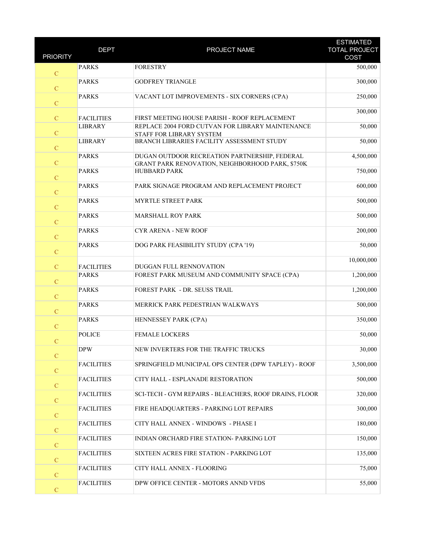| <b>PRIORITY</b> | <b>DEPT</b>       | PROJECT NAME                                                                                      | <b>ESTIMATED</b><br><b>TOTAL PROJECT</b><br>COST |
|-----------------|-------------------|---------------------------------------------------------------------------------------------------|--------------------------------------------------|
| $\mathbf C$     | <b>PARKS</b>      | <b>FORESTRY</b>                                                                                   | 500,000                                          |
| ${\bf C}$       | <b>PARKS</b>      | <b>GODFREY TRIANGLE</b>                                                                           | 300,000                                          |
| $\mathbf C$     | <b>PARKS</b>      | VACANT LOT IMPROVEMENTS - SIX CORNERS (CPA)                                                       | 250,000                                          |
| $\mathbf C$     | <b>FACILITIES</b> | FIRST MEETING HOUSE PARISH - ROOF REPLACEMENT                                                     | 300,000                                          |
| ${\bf C}$       | <b>LIBRARY</b>    | REPLACE 2004 FORD CUTVAN FOR LIBRARY MAINTENANCE                                                  | 50,000                                           |
| $\mathbf C$     | <b>LIBRARY</b>    | STAFF FOR LIBRARY SYSTEM<br>BRANCH LIBRARIES FACILITY ASSESSMENT STUDY                            | 50,000                                           |
| ${\bf C}$       | <b>PARKS</b>      | DUGAN OUTDOOR RECREATION PARTNERSHIP, FEDERAL<br>GRANT PARK RENOVATION, NEIGHBORHOOD PARK, \$750K | 4,500,000                                        |
| $\overline{C}$  | <b>PARKS</b>      | <b>HUBBARD PARK</b>                                                                               | 750,000                                          |
| $\mathbf C$     | <b>PARKS</b>      | PARK SIGNAGE PROGRAM AND REPLACEMENT PROJECT                                                      | 600,000                                          |
| ${\bf C}$       | <b>PARKS</b>      | MYRTLE STREET PARK                                                                                | 500,000                                          |
| $\mathbf C$     | <b>PARKS</b>      | <b>MARSHALL ROY PARK</b>                                                                          | 500,000                                          |
| ${\bf C}$       | <b>PARKS</b>      | <b>CYR ARENA - NEW ROOF</b>                                                                       | 200,000                                          |
| $\mathbf C$     | <b>PARKS</b>      | DOG PARK FEASIBILITY STUDY (CPA '19)                                                              | 50,000                                           |
| $\mathbf C$     | <b>FACILITIES</b> | DUGGAN FULL RENNOVATION                                                                           | 10,000,000                                       |
| ${\bf C}$       | <b>PARKS</b>      | FOREST PARK MUSEUM AND COMMUNITY SPACE (CPA)                                                      | 1,200,000                                        |
| $\mathbf C$     | <b>PARKS</b>      | FOREST PARK - DR. SEUSS TRAIL                                                                     | 1,200,000                                        |
| ${\bf C}$       | <b>PARKS</b>      | MERRICK PARK PEDESTRIAN WALKWAYS                                                                  | 500,000                                          |
| $\mathbf C$     | <b>PARKS</b>      | HENNESSEY PARK (CPA)                                                                              | 350,000                                          |
| $\mathcal{C}$   | <b>POLICE</b>     | <b>FEMALE LOCKERS</b>                                                                             | 50,000                                           |
| $\mathbf C$     | <b>DPW</b>        | NEW INVERTERS FOR THE TRAFFIC TRUCKS                                                              | 30,000                                           |
| $\mathbf C$     | <b>FACILITIES</b> | SPRINGFIELD MUNICIPAL OPS CENTER (DPW TAPLEY) - ROOF                                              | 3,500,000                                        |
| ${\bf C}$       | <b>FACILITIES</b> | CITY HALL - ESPLANADE RESTORATION                                                                 | 500,000                                          |
| ${\bf C}$       | <b>FACILITIES</b> | SCI-TECH - GYM REPAIRS - BLEACHERS, ROOF DRAINS, FLOOR                                            | 320,000                                          |
| ${\bf C}$       | <b>FACILITIES</b> | FIRE HEADQUARTERS - PARKING LOT REPAIRS                                                           | 300,000                                          |
| ${\bf C}$       | <b>FACILITIES</b> | CITY HALL ANNEX - WINDOWS - PHASE I                                                               | 180,000                                          |
| $\mathbf C$     | <b>FACILITIES</b> | INDIAN ORCHARD FIRE STATION- PARKING LOT                                                          | 150,000                                          |
| $\mathbf C$     | <b>FACILITIES</b> | SIXTEEN ACRES FIRE STATION - PARKING LOT                                                          | 135,000                                          |
| ${\bf C}$       | <b>FACILITIES</b> | CITY HALL ANNEX - FLOORING                                                                        | 75,000                                           |
| $\mathbf C$     | <b>FACILITIES</b> | DPW OFFICE CENTER - MOTORS ANND VFDS                                                              | 55,000                                           |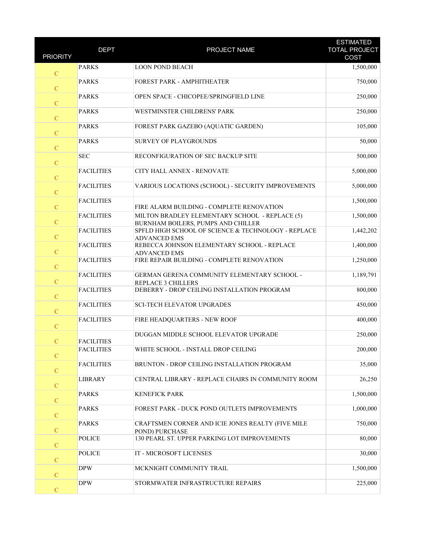| <b>PRIORITY</b> | <b>DEPT</b>                            | PROJECT NAME                                                                         | <b>ESTIMATED</b><br><b>TOTAL PROJECT</b><br>COST |
|-----------------|----------------------------------------|--------------------------------------------------------------------------------------|--------------------------------------------------|
| $\mathbf C$     | <b>PARKS</b>                           | <b>LOON POND BEACH</b>                                                               | 1,500,000                                        |
| $\mathbf C$     | <b>PARKS</b>                           | FOREST PARK - AMPHITHEATER                                                           | 750,000                                          |
| $\overline{C}$  | <b>PARKS</b>                           | OPEN SPACE - CHICOPEE/SPRINGFIELD LINE                                               | 250,000                                          |
| $\mathbf C$     | <b>PARKS</b>                           | WESTMINSTER CHILDRENS' PARK                                                          | 250,000                                          |
| $\mathbf C$     | <b>PARKS</b>                           | FOREST PARK GAZEBO (AQUATIC GARDEN)                                                  | 105,000                                          |
| $\mathbf C$     | <b>PARKS</b>                           | SURVEY OF PLAYGROUNDS                                                                | 50,000                                           |
| $\mathbf C$     | <b>SEC</b>                             | RECONFIGURATION OF SEC BACKUP SITE                                                   | 500,000                                          |
| $\overline{C}$  | <b>FACILITIES</b>                      | <b>CITY HALL ANNEX - RENOVATE</b>                                                    | 5,000,000                                        |
| $\mathbf C$     | <b>FACILITIES</b>                      | VARIOUS LOCATIONS (SCHOOL) - SECURITY IMPROVEMENTS                                   | 5,000,000                                        |
| $\mathbf C$     | <b>FACILITIES</b>                      | FIRE ALARM BUILDING - COMPLETE RENOVATION                                            | 1,500,000                                        |
| $\mathbf C$     | <b>FACILITIES</b>                      | MILTON BRADLEY ELEMENTARY SCHOOL - REPLACE (5)<br>BURNHAM BOILERS, PUMPS AND CHILLER | 1,500,000                                        |
| $\mathbf C$     | <b>FACILITIES</b>                      | SPFLD HIGH SCHOOL OF SCIENCE & TECHNOLOGY - REPLACE<br><b>ADVANCED EMS</b>           | 1,442,202                                        |
| $\overline{C}$  | <b>FACILITIES</b>                      | REBECCA JOHNSON ELEMENTARY SCHOOL - REPLACE<br><b>ADVANCED EMS</b>                   | 1,400,000                                        |
| $\mathbf C$     | <b>FACILITIES</b>                      | FIRE REPAIR BUILDING - COMPLETE RENOVATION                                           | 1,250,000                                        |
| $\mathcal{C}$   | <b>FACILITIES</b>                      | GERMAN GERENA COMMUNITY ELEMENTARY SCHOOL -<br>REPLACE 3 CHILLERS                    | 1,189,791                                        |
| $\mathbf C$     | <b>FACILITIES</b><br><b>FACILITIES</b> | DEBERRY - DROP CEILING INSTALLATION PROGRAM<br><b>SCI-TECH ELEVATOR UPGRADES</b>     | 800,000<br>450,000                               |
| $\mathbf C$     | <b>FACILITIES</b>                      | FIRE HEADQUARTERS - NEW ROOF                                                         | 400,000                                          |
| $\overline{C}$  |                                        | DUGGAN MIDDLE SCHOOL ELEVATOR UPGRADE                                                | 250,000                                          |
| $\mathbf C$     | <b>FACILITIES</b><br><b>FACILITIES</b> | WHITE SCHOOL - INSTALL DROP CEILING                                                  | 200,000                                          |
| $\mathbf C$     | <b>FACILITIES</b>                      | BRUNTON - DROP CEILING INSTALLATION PROGRAM                                          | 35,000                                           |
| $\mathbf C$     | <b>LIBRARY</b>                         | CENTRAL LIBRARY - REPLACE CHAIRS IN COMMUNITY ROOM                                   | 26,250                                           |
| $\mathbf C$     | <b>PARKS</b>                           | <b>KENEFICK PARK</b>                                                                 | 1,500,000                                        |
| $\mathbf C$     | <b>PARKS</b>                           | FOREST PARK - DUCK POND OUTLETS IMPROVEMENTS                                         | 1,000,000                                        |
| $\mathbf C$     | <b>PARKS</b>                           | CRAFTSMEN CORNER AND ICIE JONES REALTY (FIVE MILE                                    | 750,000                                          |
| $\mathbf C$     | <b>POLICE</b>                          | POND) PURCHASE<br>130 PEARL ST. UPPER PARKING LOT IMPROVEMENTS                       | 80,000                                           |
| $\mathbf C$     | <b>POLICE</b>                          | IT - MICROSOFT LICENSES                                                              | 30,000                                           |
| $\mathbf C$     | <b>DPW</b>                             | MCKNIGHT COMMUNITY TRAIL                                                             | 1,500,000                                        |
| $\mathbf C$     | <b>DPW</b>                             | STORMWATER INFRASTRUCTURE REPAIRS                                                    | 225,000                                          |
| ${\bf C}$       |                                        |                                                                                      |                                                  |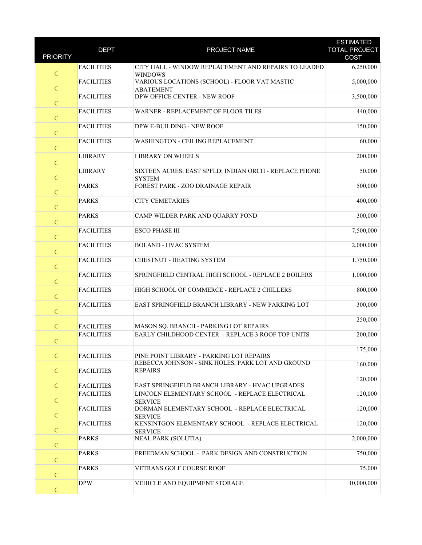| <b>PRIORITY</b> | <b>DEPT</b>                            | PROJECT NAME                                                                                | <b>ESTIMATED</b><br><b>TOTAL PROJECT</b><br>COST |
|-----------------|----------------------------------------|---------------------------------------------------------------------------------------------|--------------------------------------------------|
|                 | <b>FACILITIES</b>                      | CITY HALL - WINDOW REPLACEMENT AND REPAIRS TO LEADED                                        | 6,250,000                                        |
| $\mathbf C$     |                                        | <b>WINDOWS</b>                                                                              |                                                  |
| ${\bf C}$       | <b>FACILITIES</b>                      | VARIOUS LOCATIONS (SCHOOL) - FLOOR VAT MASTIC<br><b>ABATEMENT</b>                           | 5,000,000                                        |
| $\mathbf C$     | <b>FACILITIES</b>                      | DPW OFFICE CENTER - NEW ROOF                                                                | 3,500,000                                        |
| $\mathbf C$     | <b>FACILITIES</b>                      | WARNER - REPLACEMENT OF FLOOR TILES                                                         | 440,000                                          |
| $\mathbf C$     | <b>FACILITIES</b>                      | DPW E-BUILDING - NEW ROOF                                                                   | 150,000                                          |
| $\mathbf C$     | <b>FACILITIES</b>                      | WASHINGTON - CEILING REPLACEMENT                                                            | 60,000                                           |
| ${\bf C}$       | <b>LIBRARY</b>                         | <b>LIBRARY ON WHEELS</b>                                                                    | 200,000                                          |
| $\mathbf C$     | <b>LIBRARY</b>                         | SIXTEEN ACRES; EAST SPFLD; INDIAN ORCH - REPLACE PHONE<br><b>SYSTEM</b>                     | 50,000                                           |
| $\mathbf C$     | <b>PARKS</b>                           | FOREST PARK - ZOO DRAINAGE REPAIR                                                           | 500,000                                          |
| $\mathbf C$     | <b>PARKS</b>                           | <b>CITY CEMETARIES</b>                                                                      | 400,000                                          |
| $\mathbf C$     | <b>PARKS</b>                           | CAMP WILDER PARK AND QUARRY POND                                                            | 300,000                                          |
| ${\bf C}$       | <b>FACILITIES</b>                      | <b>ESCO PHASE III</b>                                                                       | 7,500,000                                        |
| $\mathbf C$     | <b>FACILITIES</b>                      | <b>BOLAND - HVAC SYSTEM</b>                                                                 | 2,000,000                                        |
| $\mathbf C$     | <b>FACILITIES</b>                      | CHESTNUT - HEATING SYSTEM                                                                   | 1,750,000                                        |
| $\mathbf C$     | <b>FACILITIES</b>                      | SPRINGFIELD CENTRAL HIGH SCHOOL - REPLACE 2 BOILERS                                         | 1,000,000                                        |
| $\mathbf C$     | <b>FACILITIES</b>                      | HIGH SCHOOL OF COMMERCE - REPLACE 2 CHILLERS                                                | 800,000                                          |
| $\mathbf C$     | <b>FACILITIES</b>                      | EAST SPRINGFIELD BRANCH LIBRARY - NEW PARKING LOT                                           | 300,000                                          |
|                 |                                        |                                                                                             | 250,000                                          |
| $\mathbf C$     | <b>FACILITIES</b><br><b>FACILITIES</b> | MASON SQ. BRANCH - PARKING LOT REPAIRS<br>EARLY CHILDHOOD CENTER - REPLACE 3 ROOF TOP UNITS | 200,000                                          |
| $\mathcal{C}$   |                                        |                                                                                             | 175,000                                          |
| $\mathcal{C}$   | <b>FACILITIES</b>                      | PINE POINT LIBRARY - PARKING LOT REPAIRS                                                    |                                                  |
| $\mathcal{C}$   | <b>FACILITIES</b>                      | REBECCA JOHNSON - SINK HOLES, PARK LOT AND GROUND<br><b>REPAIRS</b>                         | 160,000                                          |
| $\mathbf C$     | <b>FACILITIES</b>                      | EAST SPRINGFIELD BRANCH LIBRARY - HVAC UPGRADES                                             | 120,000                                          |
| $\mathbf C$     | <b>FACILITIES</b>                      | LINCOLN ELEMENTARY SCHOOL - REPLACE ELECTRICAL<br><b>SERVICE</b>                            | 120,000                                          |
| $\mathbf C$     | <b>FACILITIES</b>                      | DORMAN ELEMENTARY SCHOOL - REPLACE ELECTRICAL<br><b>SERVICE</b>                             | 120,000                                          |
| $\mathbf C$     | <b>FACILITIES</b>                      | KENSINTGON ELEMENTARY SCHOOL - REPLACE ELECTRICAL<br><b>SERVICE</b>                         | 120,000                                          |
| $\mathcal{C}$   | <b>PARKS</b>                           | <b>NEAL PARK (SOLUTIA)</b>                                                                  | 2,000,000                                        |
| $\mathbf C$     | <b>PARKS</b>                           | FREEDMAN SCHOOL - PARK DESIGN AND CONSTRUCTION                                              | 750,000                                          |
| ${\bf C}$       | <b>PARKS</b>                           | VETRANS GOLF COURSE ROOF                                                                    | 75,000                                           |
| $\mathbf C$     | <b>DPW</b>                             | VEHICLE AND EQUIPMENT STORAGE                                                               | 10,000,000                                       |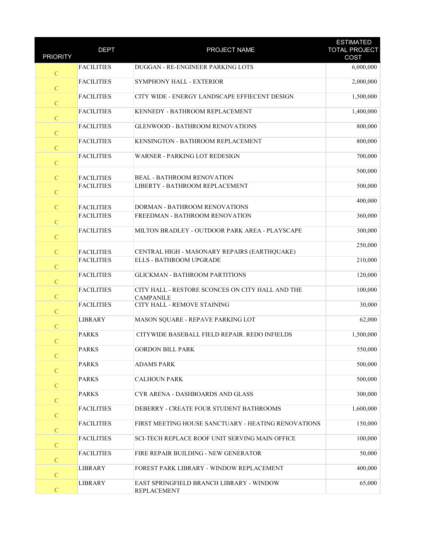| <b>PRIORITY</b> | <b>DEPT</b>                            | PROJECT NAME                                                                   | <b>ESTIMATED</b><br><b>TOTAL PROJECT</b><br>COST |
|-----------------|----------------------------------------|--------------------------------------------------------------------------------|--------------------------------------------------|
|                 | <b>FACILITIES</b>                      | DUGGAN - RE-ENGINEER PARKING LOTS                                              | 6,000,000                                        |
| $\mathcal{C}$   |                                        |                                                                                |                                                  |
| ${\bf C}$       | <b>FACILITIES</b>                      | SYMPHONY HALL - EXTERIOR                                                       | 2,000,000                                        |
| $\mathbf C$     | <b>FACILITIES</b>                      | CITY WIDE - ENERGY LANDSCAPE EFFIECENT DESIGN                                  | 1,500,000                                        |
| $\mathbf C$     | <b>FACILITIES</b>                      | KENNEDY - BATHROOM REPLACEMENT                                                 | 1,400,000                                        |
| $\mathbf C$     | <b>FACILITIES</b>                      | <b>GLENWOOD - BATHROOM RENOVATIONS</b>                                         | 800,000                                          |
| $\mathbf C$     | <b>FACILITIES</b>                      | KENSINGTON - BATHROOM REPLACEMENT                                              | 800,000                                          |
| ${\bf C}$       | <b>FACILITIES</b>                      | WARNER - PARKING LOT REDESIGN                                                  | 700,000                                          |
| $\mathbf C$     | <b>FACILITIES</b>                      | <b>BEAL - BATHROOM RENOVATION</b>                                              | 500,000                                          |
| $\mathbf C$     | <b>FACILITIES</b>                      | LIBERTY - BATHROOM REPLACEMENT                                                 | 500,000                                          |
| $\mathcal{C}$   | <b>FACILITIES</b>                      | DORMAN - BATHROOM RENOVATIONS                                                  | 400,000                                          |
| $\mathbf C$     | <b>FACILITIES</b>                      | FREEDMAN - BATHROOM RENOVATION                                                 | 360,000                                          |
| ${\bf C}$       | <b>FACILITIES</b>                      | MILTON BRADLEY - OUTDOOR PARK AREA - PLAYSCAPE                                 | 300,000                                          |
| $\mathbf C$     |                                        |                                                                                | 250,000                                          |
| $\mathbf C$     | <b>FACILITIES</b><br><b>FACILITIES</b> | CENTRAL HIGH - MASONARY REPAIRS (EARTHQUAKE)<br><b>ELLS - BATHROOM UPGRADE</b> | 210,000                                          |
| $\mathbf C$     | <b>FACILITIES</b>                      | <b>GLICKMAN - BATHROOM PARTITIONS</b>                                          | 120,000                                          |
| $\mathbf C$     | <b>FACILITIES</b>                      | CITY HALL - RESTORE SCONCES ON CITY HALL AND THE<br><b>CAMPANILE</b>           | 100,000                                          |
| ${\bf C}$       | <b>FACILITIES</b>                      | CITY HALL - REMOVE STAINING                                                    | 30,000                                           |
| $\mathbf C$     | <b>LIBRARY</b>                         | MASON SQUARE - REPAVE PARKING LOT                                              | 62,000                                           |
| $\mathcal{C}$   | <b>PARKS</b>                           | CITYWIDE BASEBALL FIELD REPAIR. REDO INFIELDS                                  | 1,500,000                                        |
| $\mathcal{C}$   | <b>PARKS</b>                           | <b>GORDON BILL PARK</b>                                                        | 550,000                                          |
| $\mathcal{C}$   | <b>PARKS</b>                           | <b>ADAMS PARK</b>                                                              | 500,000                                          |
| $\mathbf C$     | <b>PARKS</b>                           | <b>CALHOUN PARK</b>                                                            | 500,000                                          |
| $\mathbf C$     | <b>PARKS</b>                           | CYR ARENA - DASHBOARDS AND GLASS                                               | 300,000                                          |
| $\mathcal{C}$   | <b>FACILITIES</b>                      | DEBERRY - CREATE FOUR STUDENT BATHROOMS                                        | 1,600,000                                        |
| $\mathbf C$     | <b>FACILITIES</b>                      | FIRST MEETING HOUSE SANCTUARY - HEATING RENOVATIONS                            | 150,000                                          |
| $\mathcal{C}$   | <b>FACILITIES</b>                      | <b>SCI-TECH REPLACE ROOF UNIT SERVING MAIN OFFICE</b>                          | 100,000                                          |
| $\mathbf C$     | <b>FACILITIES</b>                      | FIRE REPAIR BUILDING - NEW GENERATOR                                           | 50,000                                           |
| $\mathbf C$     | <b>LIBRARY</b>                         | FOREST PARK LIBRARY - WINDOW REPLACEMENT                                       | 400,000                                          |
| ${\bf C}$       | <b>LIBRARY</b>                         | EAST SPRINGFIELD BRANCH LIBRARY - WINDOW<br><b>REPLACEMENT</b>                 | 65,000                                           |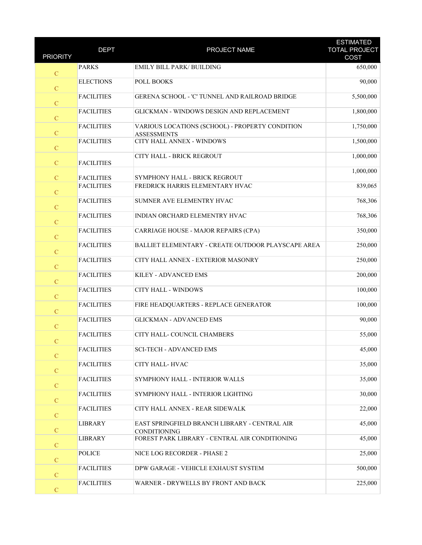| <b>PRIORITY</b> | <b>DEPT</b>       | PROJECT NAME                                                          | <b>ESTIMATED</b><br><b>TOTAL PROJECT</b> |
|-----------------|-------------------|-----------------------------------------------------------------------|------------------------------------------|
|                 |                   |                                                                       | COST                                     |
| $\mathcal{C}$   | <b>PARKS</b>      | EMILY BILL PARK/ BUILDING                                             | 650,000                                  |
| ${\bf C}$       | <b>ELECTIONS</b>  | POLL BOOKS                                                            | 90,000                                   |
| $\mathbf C$     | <b>FACILITIES</b> | GERENA SCHOOL - 'C' TUNNEL AND RAILROAD BRIDGE                        | 5,500,000                                |
| ${\bf C}$       | <b>FACILITIES</b> | GLICKMAN - WINDOWS DESIGN AND REPLACEMENT                             | 1,800,000                                |
| $\mathbf C$     | <b>FACILITIES</b> | VARIOUS LOCATIONS (SCHOOL) - PROPERTY CONDITION<br><b>ASSESSMENTS</b> | 1,750,000                                |
| $\mathbf C$     | <b>FACILITIES</b> | CITY HALL ANNEX - WINDOWS                                             | 1,500,000                                |
| $\mathbf C$     | <b>FACILITIES</b> | CITY HALL - BRICK REGROUT                                             | 1,000,000                                |
| $\mathbf C$     | <b>FACILITIES</b> | SYMPHONY HALL - BRICK REGROUT                                         | 1,000,000                                |
| ${\bf C}$       | <b>FACILITIES</b> | FREDRICK HARRIS ELEMENTARY HVAC                                       | 839,065                                  |
| $\mathbf C$     | <b>FACILITIES</b> | SUMNER AVE ELEMENTRY HVAC                                             | 768,306                                  |
| $\mathbf C$     | <b>FACILITIES</b> | INDIAN ORCHARD ELEMENTRY HVAC                                         | 768,306                                  |
| $\mathbf C$     | <b>FACILITIES</b> | CARRIAGE HOUSE - MAJOR REPAIRS (CPA)                                  | 350,000                                  |
| $\mathbf C$     | <b>FACILITIES</b> | BALLIET ELEMENTARY - CREATE OUTDOOR PLAYSCAPE AREA                    | 250,000                                  |
| ${\bf C}$       | <b>FACILITIES</b> | CITY HALL ANNEX - EXTERIOR MASONRY                                    | 250,000                                  |
| $\mathbf C$     | <b>FACILITIES</b> | KILEY - ADVANCED EMS                                                  | 200,000                                  |
| $\mathcal{C}$   | <b>FACILITIES</b> | CITY HALL - WINDOWS                                                   | 100,000                                  |
| $\mathbf C$     | <b>FACILITIES</b> | FIRE HEADQUARTERS - REPLACE GENERATOR                                 | 100,000                                  |
| $\mathbf C$     | <b>FACILITIES</b> | <b>GLICKMAN - ADVANCED EMS</b>                                        | 90,000                                   |
| $\mathbf C$     | <b>FACILITIES</b> | CITY HALL-COUNCIL CHAMBERS                                            | 55,000                                   |
| $\mathcal{C}$   | <b>FACILITIES</b> | <b>SCI-TECH - ADVANCED EMS</b>                                        | 45,000                                   |
| $\mathcal{C}$   | <b>FACILITIES</b> | CITY HALL-HVAC                                                        | 35,000                                   |
| $\mathcal{C}$   | <b>FACILITIES</b> | SYMPHONY HALL - INTERIOR WALLS                                        | 35,000                                   |
| $\mathbf C$     | <b>FACILITIES</b> | SYMPHONY HALL - INTERIOR LIGHTING                                     | 30,000                                   |
| ${\bf C}$       | <b>FACILITIES</b> | CITY HALL ANNEX - REAR SIDEWALK                                       | 22,000                                   |
| $\mathbf C$     | <b>LIBRARY</b>    | EAST SPRINGFIELD BRANCH LIBRARY - CENTRAL AIR<br><b>CONDITIONING</b>  | 45,000                                   |
| $\mathcal{C}$   | <b>LIBRARY</b>    | FOREST PARK LIBRARY - CENTRAL AIR CONDITIONING                        | 45,000                                   |
| $\mathcal{C}$   | <b>POLICE</b>     | NICE LOG RECORDER - PHASE 2                                           | 25,000                                   |
| $\mathbf C$     | <b>FACILITIES</b> | DPW GARAGE - VEHICLE EXHAUST SYSTEM                                   | 500,000                                  |
| $\mathbf C$     | <b>FACILITIES</b> | WARNER - DRYWELLS BY FRONT AND BACK                                   | 225,000                                  |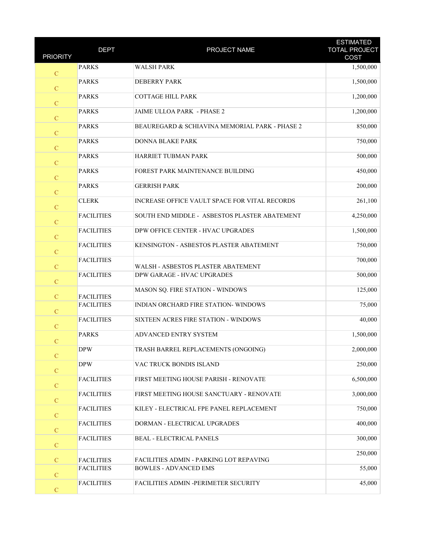| <b>PRIORITY</b> | <b>DEPT</b>       | PROJECT NAME                                   | <b>ESTIMATED</b><br><b>TOTAL PROJECT</b><br>COST |
|-----------------|-------------------|------------------------------------------------|--------------------------------------------------|
| $\mathcal{C}$   | <b>PARKS</b>      | <b>WALSH PARK</b>                              | 1,500,000                                        |
| ${\bf C}$       | <b>PARKS</b>      | <b>DEBERRY PARK</b>                            | 1,500,000                                        |
| $\mathbf C$     | <b>PARKS</b>      | <b>COTTAGE HILL PARK</b>                       | 1,200,000                                        |
| $\mathbf C$     | <b>PARKS</b>      | <b>JAIME ULLOA PARK - PHASE 2</b>              | 1,200,000                                        |
| $\mathbf C$     | <b>PARKS</b>      | BEAUREGARD & SCHIAVINA MEMORIAL PARK - PHASE 2 | 850,000                                          |
| $\mathbf C$     | <b>PARKS</b>      | <b>DONNA BLAKE PARK</b>                        | 750,000                                          |
| ${\bf C}$       | <b>PARKS</b>      | HARRIET TUBMAN PARK                            | 500,000                                          |
| $\mathbf C$     | <b>PARKS</b>      | FOREST PARK MAINTENANCE BUILDING               | 450,000                                          |
| $\mathbf C$     | <b>PARKS</b>      | <b>GERRISH PARK</b>                            | 200,000                                          |
| $\mathbf C$     | <b>CLERK</b>      | INCREASE OFFICE VAULT SPACE FOR VITAL RECORDS  | 261,100                                          |
| $\mathbf C$     | <b>FACILITIES</b> | SOUTH END MIDDLE - ASBESTOS PLASTER ABATEMENT  | 4,250,000                                        |
| ${\bf C}$       | <b>FACILITIES</b> | DPW OFFICE CENTER - HVAC UPGRADES              | 1,500,000                                        |
| $\mathbf C$     | <b>FACILITIES</b> | KENSINGTON - ASBESTOS PLASTER ABATEMENT        | 750,000                                          |
| $\mathbf C$     | <b>FACILITIES</b> | WALSH - ASBESTOS PLASTER ABATEMENT             | 700,000                                          |
| $\mathbf C$     | <b>FACILITIES</b> | DPW GARAGE - HVAC UPGRADES                     | 500,000                                          |
| $\mathcal{C}$   | <b>FACILITIES</b> | MASON SQ. FIRE STATION - WINDOWS               | 125,000                                          |
| $\mathbf C$     | <b>FACILITIES</b> | INDIAN ORCHARD FIRE STATION- WINDOWS           | 75,000                                           |
| $\mathbf C$     | <b>FACILITIES</b> | SIXTEEN ACRES FIRE STATION - WINDOWS           | 40,000                                           |
| $\mathcal{C}$   | <b>PARKS</b>      | ADVANCED ENTRY SYSTEM                          | 1,500,000                                        |
| $\mathcal{C}$   | <b>DPW</b>        | TRASH BARREL REPLACEMENTS (ONGOING)            | 2,000,000                                        |
| $\mathbf C$     | <b>DPW</b>        | VAC TRUCK BONDIS ISLAND                        | 250,000                                          |
| $\mathbf C$     | <b>FACILITIES</b> | FIRST MEETING HOUSE PARISH - RENOVATE          | 6,500,000                                        |
| ${\bf C}$       | <b>FACILITIES</b> | FIRST MEETING HOUSE SANCTUARY - RENOVATE       | 3,000,000                                        |
| $\mathbf C$     | <b>FACILITIES</b> | KILEY - ELECTRICAL FPE PANEL REPLACEMENT       | 750,000                                          |
| $\mathbf C$     | <b>FACILITIES</b> | DORMAN - ELECTRICAL UPGRADES                   | 400,000                                          |
| $\mathbf C$     | <b>FACILITIES</b> | <b>BEAL - ELECTRICAL PANELS</b>                | 300,000                                          |
| $\mathbf C$     | <b>FACILITIES</b> | FACILITIES ADMIN - PARKING LOT REPAVING        | 250,000                                          |
| ${\bf C}$       | <b>FACILITIES</b> | <b>BOWLES - ADVANCED EMS</b>                   | 55,000                                           |
| ${\bf C}$       | <b>FACILITIES</b> | FACILITIES ADMIN -PERIMETER SECURITY           | 45,000                                           |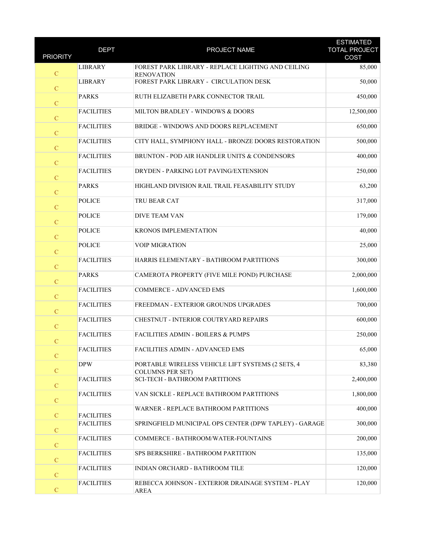| <b>PRIORITY</b> | <b>DEPT</b>       | PROJECT NAME                                                                 | <b>ESTIMATED</b><br><b>TOTAL PROJECT</b><br>COST |
|-----------------|-------------------|------------------------------------------------------------------------------|--------------------------------------------------|
| $\mathbf C$     | <b>LIBRARY</b>    | FOREST PARK LIBRARY - REPLACE LIGHTING AND CEILING<br><b>RENOVATION</b>      | 85,000                                           |
| ${\bf C}$       | <b>LIBRARY</b>    | FOREST PARK LIBRARY - CIRCULATION DESK                                       | 50,000                                           |
| $\mathbf C$     | <b>PARKS</b>      | RUTH ELIZABETH PARK CONNECTOR TRAIL                                          | 450,000                                          |
| $\mathbf C$     | <b>FACILITIES</b> | MILTON BRADLEY - WINDOWS & DOORS                                             | 12,500,000                                       |
| $\mathbf C$     | <b>FACILITIES</b> | BRIDGE - WINDOWS AND DOORS REPLACEMENT                                       | 650,000                                          |
| $\mathbf C$     | <b>FACILITIES</b> | CITY HALL, SYMPHONY HALL - BRONZE DOORS RESTORATION                          | 500,000                                          |
| ${\bf C}$       | <b>FACILITIES</b> | BRUNTON - POD AIR HANDLER UNITS & CONDENSORS                                 | 400,000                                          |
| $\mathbf C$     | <b>FACILITIES</b> | DRYDEN - PARKING LOT PAVING/EXTENSION                                        | 250,000                                          |
| $\mathbf C$     | <b>PARKS</b>      | HIGHLAND DIVISION RAIL TRAIL FEASABILITY STUDY                               | 63,200                                           |
| $\mathbf C$     | <b>POLICE</b>     | TRU BEAR CAT                                                                 | 317,000                                          |
| $\mathbf C$     | <b>POLICE</b>     | <b>DIVE TEAM VAN</b>                                                         | 179,000                                          |
| ${\bf C}$       | <b>POLICE</b>     | KRONOS IMPLEMENTATION                                                        | 40,000                                           |
| $\mathbf C$     | <b>POLICE</b>     | <b>VOIP MIGRATION</b>                                                        | 25,000                                           |
| $\mathbf C$     | <b>FACILITIES</b> | HARRIS ELEMENTARY - BATHROOM PARTITIONS                                      | 300,000                                          |
| $\mathbf C$     | <b>PARKS</b>      | CAMEROTA PROPERTY (FIVE MILE POND) PURCHASE                                  | 2,000,000                                        |
| $\mathbf C$     | <b>FACILITIES</b> | COMMERCE - ADVANCED EMS                                                      | 1,600,000                                        |
| ${\bf C}$       | <b>FACILITIES</b> | FREEDMAN - EXTERIOR GROUNDS UPGRADES                                         | 700,000                                          |
| $\mathbf C$     | <b>FACILITIES</b> | CHESTNUT - INTERIOR COUTRYARD REPAIRS                                        | 600,000                                          |
| $\mathbf C$     | <b>FACILITIES</b> | <b>FACILITIES ADMIN - BOILERS &amp; PUMPS</b>                                | 250,000                                          |
| $\mathbf C$     | <b>FACILITIES</b> | FACILITIES ADMIN - ADVANCED EMS                                              | 65,000                                           |
| $\mathbf C$     | <b>DPW</b>        | PORTABLE WIRELESS VEHICLE LIFT SYSTEMS (2 SETS, 4<br><b>COLUMNS PER SET)</b> | 83,380                                           |
| $\mathbf C$     | <b>FACILITIES</b> | <b>SCI-TECH - BATHROOM PARTITIONS</b>                                        | 2,400,000                                        |
| $\mathbf C$     | <b>FACILITIES</b> | VAN SICKLE - REPLACE BATHROOM PARTITIONS                                     | 1,800,000                                        |
| $\mathcal{C}$   | <b>FACILITIES</b> | WARNER - REPLACE BATHROOM PARTITIONS                                         | 400,000                                          |
| $\mathbf C$     | <b>FACILITIES</b> | SPRINGFIELD MUNICIPAL OPS CENTER (DPW TAPLEY) - GARAGE                       | 300,000                                          |
| $\mathcal{C}$   | <b>FACILITIES</b> | COMMERCE - BATHROOM/WATER-FOUNTAINS                                          | 200,000                                          |
| $\mathbf C$     | <b>FACILITIES</b> | SPS BERKSHIRE - BATHROOM PARTITION                                           | 135,000                                          |
| $\mathbf C$     | <b>FACILITIES</b> | INDIAN ORCHARD - BATHROOM TILE                                               | 120,000                                          |
| ${\bf C}$       | <b>FACILITIES</b> | REBECCA JOHNSON - EXTERIOR DRAINAGE SYSTEM - PLAY<br><b>AREA</b>             | 120,000                                          |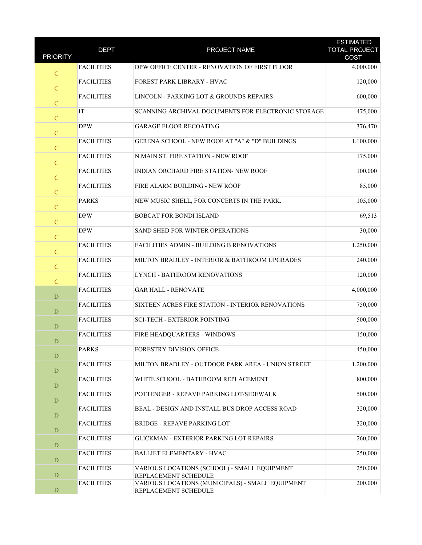| <b>PRIORITY</b> | <b>DEPT</b>       | PROJECT NAME                                                             | <b>ESTIMATED</b><br><b>TOTAL PROJECT</b><br>COST |
|-----------------|-------------------|--------------------------------------------------------------------------|--------------------------------------------------|
| $\mathbf C$     | <b>FACILITIES</b> | DPW OFFICE CENTER - RENOVATION OF FIRST FLOOR                            | 4,000,000                                        |
| $\overline{C}$  | <b>FACILITIES</b> | FOREST PARK LIBRARY - HVAC                                               | 120,000                                          |
| $\mathbf C$     | <b>FACILITIES</b> | LINCOLN - PARKING LOT & GROUNDS REPAIRS                                  | 600,000                                          |
| $\mathbf C$     | IT                | SCANNING ARCHIVAL DOCUMENTS FOR ELECTRONIC STORAGE                       | 475,000                                          |
| ${\bf C}$       | <b>DPW</b>        | <b>GARAGE FLOOR RECOATING</b>                                            | 376,470                                          |
| $\mathbf C$     | <b>FACILITIES</b> | GERENA SCHOOL - NEW ROOF AT "A" & "D" BUILDINGS                          | 1,100,000                                        |
| $\mathbf C$     | <b>FACILITIES</b> | N.MAIN ST. FIRE STATION - NEW ROOF                                       | 175,000                                          |
| $\mathbf C$     | <b>FACILITIES</b> | INDIAN ORCHARD FIRE STATION- NEW ROOF                                    | 100,000                                          |
| $\mathbf C$     | <b>FACILITIES</b> | FIRE ALARM BUILDING - NEW ROOF                                           | 85,000                                           |
| $\mathbf C$     | <b>PARKS</b>      | NEW MUSIC SHELL, FOR CONCERTS IN THE PARK.                               | 105,000                                          |
| $\mathbf C$     | <b>DPW</b>        | BOBCAT FOR BONDI ISLAND                                                  | 69,513                                           |
| $\mathbf C$     | <b>DPW</b>        | SAND SHED FOR WINTER OPERATIONS                                          | 30,000                                           |
| $\mathbf C$     | <b>FACILITIES</b> | FACILITIES ADMIN - BUILDING B RENOVATIONS                                | 1,250,000                                        |
| $\mathbf C$     | <b>FACILITIES</b> | MILTON BRADLEY - INTERIOR & BATHROOM UPGRADES                            | 240,000                                          |
| $\mathbf C$     | <b>FACILITIES</b> | LYNCH - BATHROOM RENOVATIONS                                             | 120,000                                          |
| D               | <b>FACILITIES</b> | <b>GAR HALL - RENOVATE</b>                                               | 4,000,000                                        |
| D               | <b>FACILITIES</b> | SIXTEEN ACRES FIRE STATION - INTERIOR RENOVATIONS                        | 750,000                                          |
| $\mathbf D$     | <b>FACILITIES</b> | <b>SCI-TECH - EXTERIOR POINTING</b>                                      | 500,000                                          |
| D               | <b>FACILITIES</b> | FIRE HEADQUARTERS - WINDOWS                                              | 150,000                                          |
| $\mathbf D$     | <b>PARKS</b>      | <b>FORESTRY DIVISION OFFICE</b>                                          | 450,000                                          |
| D               | <b>FACILITIES</b> | MILTON BRADLEY - OUTDOOR PARK AREA - UNION STREET                        | 1,200,000                                        |
| D               | <b>FACILITIES</b> | WHITE SCHOOL - BATHROOM REPLACEMENT                                      | 800,000                                          |
| $\mathbf D$     | <b>FACILITIES</b> | POTTENGER - REPAVE PARKING LOT/SIDEWALK                                  | 500,000                                          |
| $\mathbf D$     | <b>FACILITIES</b> | BEAL - DESIGN AND INSTALL BUS DROP ACCESS ROAD                           | 320,000                                          |
| D               | <b>FACILITIES</b> | <b>BRIDGE - REPAVE PARKING LOT</b>                                       | 320,000                                          |
| D               | <b>FACILITIES</b> | GLICKMAN - EXTERIOR PARKING LOT REPAIRS                                  | 260,000                                          |
| D               | <b>FACILITIES</b> | <b>BALLIET ELEMENTARY - HVAC</b>                                         | 250,000                                          |
| D               | <b>FACILITIES</b> | VARIOUS LOCATIONS (SCHOOL) - SMALL EQUIPMENT<br>REPLACEMENT SCHEDULE     | 250,000                                          |
| $\mathbf D$     | <b>FACILITIES</b> | VARIOUS LOCATIONS (MUNICIPALS) - SMALL EQUIPMENT<br>REPLACEMENT SCHEDULE | 200,000                                          |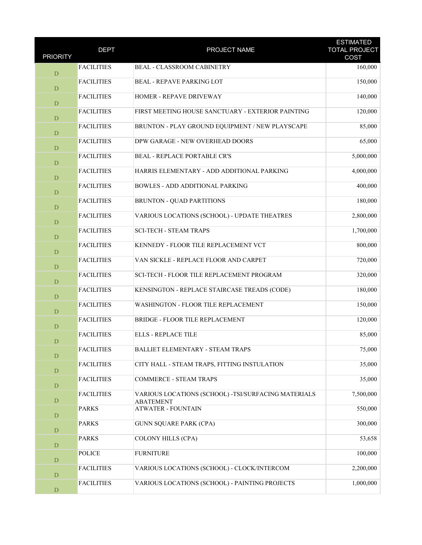| <b>PRIORITY</b> | <b>DEPT</b>       | PROJECT NAME                                                            | <b>ESTIMATED</b><br><b>TOTAL PROJECT</b><br>COST |
|-----------------|-------------------|-------------------------------------------------------------------------|--------------------------------------------------|
| D               | <b>FACILITIES</b> | BEAL - CLASSROOM CABINETRY                                              | 160,000                                          |
| D               | <b>FACILITIES</b> | <b>BEAL - REPAVE PARKING LOT</b>                                        | 150,000                                          |
| $\mathbf D$     | <b>FACILITIES</b> | HOMER - REPAVE DRIVEWAY                                                 | 140,000                                          |
| $\mathbf D$     | <b>FACILITIES</b> | FIRST MEETING HOUSE SANCTUARY - EXTERIOR PAINTING                       | 120,000                                          |
| D               | <b>FACILITIES</b> | BRUNTON - PLAY GROUND EQUIPMENT / NEW PLAYSCAPE                         | 85,000                                           |
| D               | <b>FACILITIES</b> | DPW GARAGE - NEW OVERHEAD DOORS                                         | 65,000                                           |
| $\mathbf D$     | <b>FACILITIES</b> | <b>BEAL - REPLACE PORTABLE CR'S</b>                                     | 5,000,000                                        |
| $\mathbf D$     | <b>FACILITIES</b> | HARRIS ELEMENTARY - ADD ADDITIONAL PARKING                              | 4,000,000                                        |
| $\mathbf D$     | <b>FACILITIES</b> | <b>BOWLES - ADD ADDITIONAL PARKING</b>                                  | 400,000                                          |
| $\mathbf D$     | <b>FACILITIES</b> | <b>BRUNTON - QUAD PARTITIONS</b>                                        | 180,000                                          |
| D               | <b>FACILITIES</b> | VARIOUS LOCATIONS (SCHOOL) - UPDATE THEATRES                            | 2,800,000                                        |
| $\mathbf D$     | <b>FACILITIES</b> | <b>SCI-TECH - STEAM TRAPS</b>                                           | 1,700,000                                        |
| $\mathbf D$     | <b>FACILITIES</b> | KENNEDY - FLOOR TILE REPLACEMENT VCT                                    | 800,000                                          |
| $\mathbf D$     | <b>FACILITIES</b> | VAN SICKLE - REPLACE FLOOR AND CARPET                                   | 720,000                                          |
| D               | <b>FACILITIES</b> | SCI-TECH - FLOOR TILE REPLACEMENT PROGRAM                               | 320,000                                          |
| D               | <b>FACILITIES</b> | KENSINGTON - REPLACE STAIRCASE TREADS (CODE)                            | 180,000                                          |
| D               | <b>FACILITIES</b> | WASHINGTON - FLOOR TILE REPLACEMENT                                     | 150,000                                          |
| D               | <b>FACILITIES</b> | BRIDGE - FLOOR TILE REPLACEMENT                                         | 120,000                                          |
| $\mathbf D$     | <b>FACILITIES</b> | <b>ELLS - REPLACE TILE</b>                                              | 85,000                                           |
| $\mathbf D$     | <b>FACILITIES</b> | BALLIET ELEMENTARY - STEAM TRAPS                                        | 75,000                                           |
| $\mathbf D$     | <b>FACILITIES</b> | CITY HALL - STEAM TRAPS, FITTING INSTULATION                            | 35,000                                           |
| $\mathbf D$     | <b>FACILITIES</b> | <b>COMMERCE - STEAM TRAPS</b>                                           | 35,000                                           |
| $\mathbf D$     | <b>FACILITIES</b> | VARIOUS LOCATIONS (SCHOOL) -TSI/SURFACING MATERIALS<br><b>ABATEMENT</b> | 7,500,000                                        |
| ${\bf D}$       | <b>PARKS</b>      | <b>ATWATER - FOUNTAIN</b>                                               | 550,000                                          |
| $\mathbf D$     | <b>PARKS</b>      | <b>GUNN SQUARE PARK (CPA)</b>                                           | 300,000                                          |
| $\mathbf D$     | <b>PARKS</b>      | <b>COLONY HILLS (CPA)</b>                                               | 53,658                                           |
| $\mathbf D$     | <b>POLICE</b>     | <b>FURNITURE</b>                                                        | 100,000                                          |
| $\mathbf D$     | <b>FACILITIES</b> | VARIOUS LOCATIONS (SCHOOL) - CLOCK/INTERCOM                             | 2,200,000                                        |
| ${\rm D}$       | <b>FACILITIES</b> | VARIOUS LOCATIONS (SCHOOL) - PAINTING PROJECTS                          | 1,000,000                                        |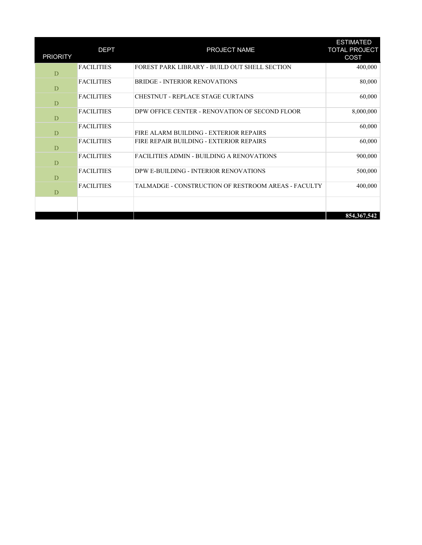| <b>PRIORITY</b> | <b>DEPT</b>       | PROJECT NAME                                        | <b>ESTIMATED</b><br><b>TOTAL PROJECT</b><br>COST |
|-----------------|-------------------|-----------------------------------------------------|--------------------------------------------------|
| D               | <b>FACILITIES</b> | FOREST PARK LIBRARY - BUILD OUT SHELL SECTION       | 400,000                                          |
| D               | <b>FACILITIES</b> | <b>BRIDGE - INTERIOR RENOVATIONS</b>                | 80,000                                           |
| D               | <b>FACILITIES</b> | CHESTNUT - REPLACE STAGE CURTAINS                   | 60,000                                           |
| D               | <b>FACILITIES</b> | DPW OFFICE CENTER - RENOVATION OF SECOND FLOOR      | 8,000,000                                        |
| D               | <b>FACILITIES</b> | FIRE ALARM BUILDING - EXTERIOR REPAIRS              | 60,000                                           |
| D               | <b>FACILITIES</b> | FIRE REPAIR BUILDING - EXTERIOR REPAIRS             | 60,000                                           |
| D               | <b>FACILITIES</b> | FACILITIES ADMIN - BUILDING A RENOVATIONS           | 900,000                                          |
| D               | <b>FACILITIES</b> | DPW E-BUILDING - INTERIOR RENOVATIONS               | 500,000                                          |
| D               | <b>FACILITIES</b> | TALMADGE - CONSTRUCTION OF RESTROOM AREAS - FACULTY | 400,000                                          |
|                 |                   |                                                     |                                                  |
|                 |                   |                                                     | 854, 367, 542                                    |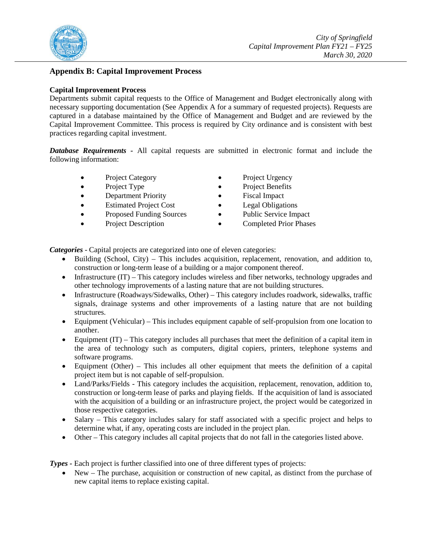

## <span id="page-34-0"></span>**Appendix B: Capital Improvement Process**

### **Capital Improvement Process**

Departments submit capital requests to the Office of Management and Budget electronically along with necessary supporting documentation (See Appendix A for a summary of requested projects). Requests are captured in a database maintained by the Office of Management and Budget and are reviewed by the Capital Improvement Committee. This process is required by City ordinance and is consistent with best practices regarding capital investment.

*Database Requirements -* All capital requests are submitted in electronic format and include the following information:

- Project Category Project Urgency
- 
- 
- Estimated Project Cost Legal Obligations
- Proposed Funding Sources Public Service Impact
- 
- 
- Project Type Project Benefits
	- **Department Priority** Fiscal Impact
		-
		-
	- Project Description Completed Prior Phases

*Categories* - Capital projects are categorized into one of eleven categories:

- Building (School, City) *–* This includes acquisition, replacement, renovation, and addition to, construction or long-term lease of a building or a major component thereof.
- Infrastructure (IT) This category includes wireless and fiber networks, technology upgrades and other technology improvements of a lasting nature that are not building structures.
- Infrastructure (Roadways/Sidewalks, Other) *–* This category includes roadwork, sidewalks, traffic signals, drainage systems and other improvements of a lasting nature that are not building structures.
- Equipment (Vehicular) *–* This includes equipment capable of self-propulsion from one location to another.
- Equipment (IT) *–* This category includes all purchases that meet the definition of a capital item in the area of technology such as computers, digital copiers, printers, telephone systems and software programs.
- Equipment (Other) *–* This includes all other equipment that meets the definition of a capital project item but is not capable of self-propulsion.
- Land/Parks/Fields *-* This category includes the acquisition, replacement, renovation, addition to, construction or long-term lease of parks and playing fields. If the acquisition of land is associated with the acquisition of a building or an infrastructure project, the project would be categorized in those respective categories.
- Salary This category includes salary for staff associated with a specific project and helps to determine what, if any, operating costs are included in the project plan.
- Other This category includes all capital projects that do not fall in the categories listed above.

*Types -* Each project is further classified into one of three different types of projects:

• New – The purchase, acquisition or construction of new capital, as distinct from the purchase of new capital items to replace existing capital.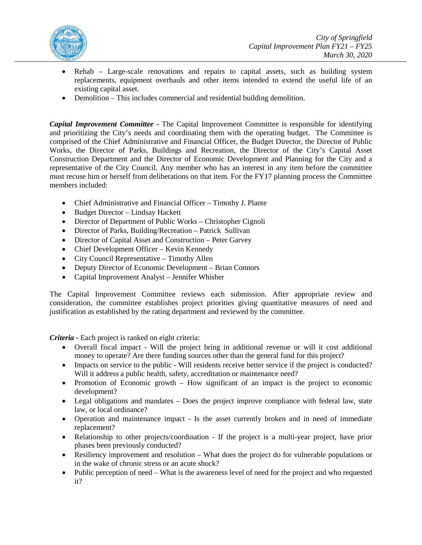

- Rehab Large-scale renovations and repairs to capital assets, such as building system replacements, equipment overhauls and other items intended to extend the useful life of an existing capital asset.
- Demolition This includes commercial and residential building demolition.

*Capital Improvement Committee -* The Capital Improvement Committee is responsible for identifying and prioritizing the City's needs and coordinating them with the operating budget. The Committee is comprised of the Chief Administrative and Financial Officer, the Budget Director, the Director of Public Works, the Director of Parks, Buildings and Recreation, the Director of the City's Capital Asset Construction Department and the Director of Economic Development and Planning for the City and a representative of the City Council. Any member who has an interest in any item before the committee must recuse him or herself from deliberations on that item. For the FY17 planning process the Committee members included:

- Chief Administrative and Financial Officer Timothy J. Plante
- Budget Director Lindsay Hackett
- Director of Department of Public Works Christopher Cignoli
- Director of Parks, Building/Recreation Patrick Sullivan
- Director of Capital Asset and Construction Peter Garvey
- Chief Development Officer Kevin Kennedy
- City Council Representative Timothy Allen
- Deputy Director of Economic Development Brian Connors
- Capital Improvement Analyst Jennifer Whisher

The Capital Improvement Committee reviews each submission. After appropriate review and consideration, the committee establishes project priorities giving quantitative measures of need and justification as established by the rating department and reviewed by the committee.

*Criteria -* Each project is ranked on eight criteria:

- Overall fiscal impact Will the project bring in additional revenue or will it cost additional money to operate? Are there funding sources other than the general fund for this project?
- Impacts on service to the public Will residents receive better service if the project is conducted? Will it address a public health, safety, accreditation or maintenance need?
- Promotion of Economic growth How significant of an impact is the project to economic development?
- Legal obligations and mandates Does the project improve compliance with federal law, state law, or local ordinance?
- Operation and maintenance impact Is the asset currently broken and in need of immediate replacement?
- Relationship to other projects/coordination If the project is a multi-year project, have prior phases been previously conducted?
- Resiliency improvement and resolution What does the project do for vulnerable populations or in the wake of chronic stress or an acute shock?
- Public perception of need What is the awareness level of need for the project and who requested it?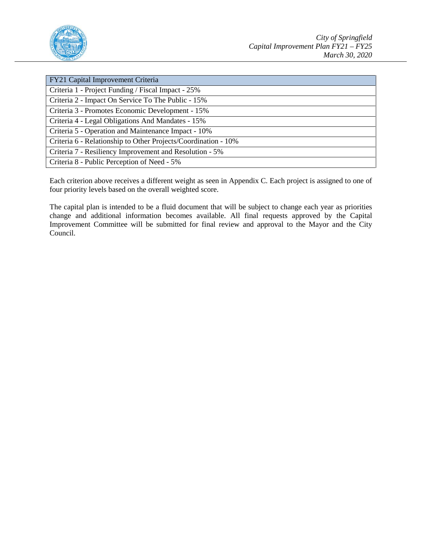

| FY21 Capital Improvement Criteria                              |
|----------------------------------------------------------------|
| Criteria 1 - Project Funding / Fiscal Impact - 25%             |
| Criteria 2 - Impact On Service To The Public - 15%             |
| Criteria 3 - Promotes Economic Development - 15%               |
| Criteria 4 - Legal Obligations And Mandates - 15%              |
| Criteria 5 - Operation and Maintenance Impact - 10%            |
| Criteria 6 - Relationship to Other Projects/Coordination - 10% |
| Criteria 7 - Resiliency Improvement and Resolution - 5%        |
| Criteria 8 - Public Perception of Need - 5%                    |

Each criterion above receives a different weight as seen in Appendix C. Each project is assigned to one of four priority levels based on the overall weighted score.

The capital plan is intended to be a fluid document that will be subject to change each year as priorities change and additional information becomes available. All final requests approved by the Capital Improvement Committee will be submitted for final review and approval to the Mayor and the City Council.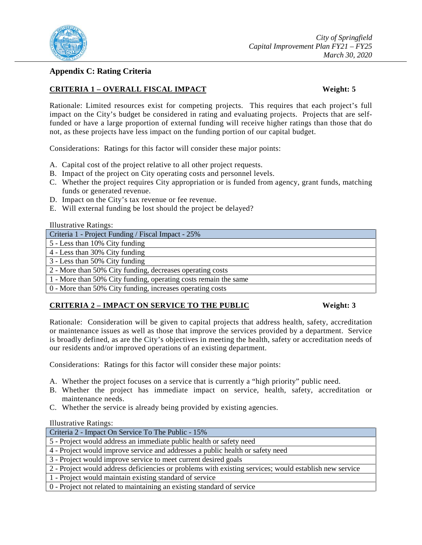

## <span id="page-37-0"></span>**Appendix C: Rating Criteria**

## **CRITERIA 1 – OVERALL FISCAL IMPACT Weight: 5**

Rationale: Limited resources exist for competing projects. This requires that each project's full impact on the City's budget be considered in rating and evaluating projects. Projects that are selffunded or have a large proportion of external funding will receive higher ratings than those that do not, as these projects have less impact on the funding portion of our capital budget.

Considerations: Ratings for this factor will consider these major points:

- A. Capital cost of the project relative to all other project requests.
- B. Impact of the project on City operating costs and personnel levels.
- C. Whether the project requires City appropriation or is funded from agency, grant funds, matching funds or generated revenue.
- D. Impact on the City's tax revenue or fee revenue.
- E. Will external funding be lost should the project be delayed?

| <b>Illustrative Ratings:</b>                       |
|----------------------------------------------------|
| Criteria 1 - Project Funding / Fiscal Impact - 25% |

5 - Less than 10% City funding

4 - Less than 30% City funding

3 - Less than 50% City funding

2 - More than 50% City funding, decreases operating costs

1 - More than 50% City funding, operating costs remain the same

0 - More than 50% City funding, increases operating costs

## **CRITERIA 2 – IMPACT ON SERVICE TO THE PUBLIC Weight: 3**

Rationale: Consideration will be given to capital projects that address health, safety, accreditation or maintenance issues as well as those that improve the services provided by a department. Service is broadly defined, as are the City's objectives in meeting the health, safety or accreditation needs of our residents and/or improved operations of an existing department.

Considerations: Ratings for this factor will consider these major points:

- A. Whether the project focuses on a service that is currently a "high priority" public need.
- B. Whether the project has immediate impact on service, health, safety, accreditation or maintenance needs.
- C. Whether the service is already being provided by existing agencies.

| Criteria 2 - Impact On Service To The Public - 15%                                                     |
|--------------------------------------------------------------------------------------------------------|
| 5 - Project would address an immediate public health or safety need                                    |
| 4 - Project would improve service and addresses a public health or safety need                         |
| 3 - Project would improve service to meet current desired goals                                        |
| 2 - Project would address deficiencies or problems with existing services; would establish new service |
| 1 - Project would maintain existing standard of service                                                |
| 0 - Project not related to maintaining an existing standard of service                                 |
|                                                                                                        |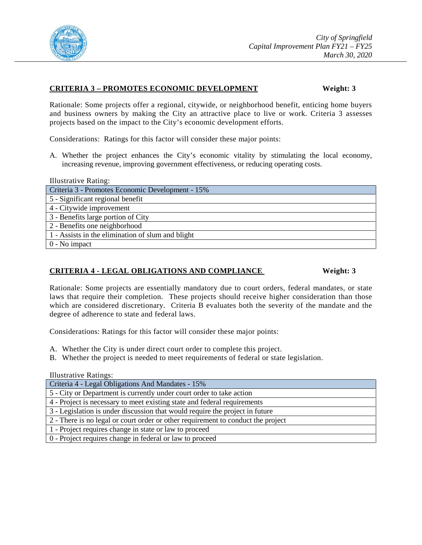

### **CRITERIA 3 – PROMOTES ECONOMIC DEVELOPMENT Weight: 3**

Rationale: Some projects offer a regional, citywide, or neighborhood benefit, enticing home buyers and business owners by making the City an attractive place to live or work. Criteria 3 assesses projects based on the impact to the City's economic development efforts.

Considerations: Ratings for this factor will consider these major points:

A. Whether the project enhances the City's economic vitality by stimulating the local economy, increasing revenue, improving government effectiveness, or reducing operating costs.

Illustrative Rating:

Criteria 3 - Promotes Economic Development - 15% 5 - Significant regional benefit 4 - Citywide improvement 3 - Benefits large portion of City 2 - Benefits one neighborhood 1 - Assists in the elimination of slum and blight 0 - No impact

## **CRITERIA 4 - LEGAL OBLIGATIONS AND COMPLIANCE Weight: 3**

Rationale: Some projects are essentially mandatory due to court orders, federal mandates, or state laws that require their completion. These projects should receive higher consideration than those which are considered discretionary. Criteria B evaluates both the severity of the mandate and the degree of adherence to state and federal laws.

Considerations: Ratings for this factor will consider these major points:

- A. Whether the City is under direct court order to complete this project.
- B. Whether the project is needed to meet requirements of federal or state legislation.

| Criteria 4 - Legal Obligations And Mandates - 15%                                |
|----------------------------------------------------------------------------------|
| 5 - City or Department is currently under court order to take action             |
| 4 - Project is necessary to meet existing state and federal requirements         |
| 3 - Legislation is under discussion that would require the project in future     |
| 2 - There is no legal or court order or other requirement to conduct the project |
| 1 - Project requires change in state or law to proceed                           |
| 0 - Project requires change in federal or law to proceed                         |
|                                                                                  |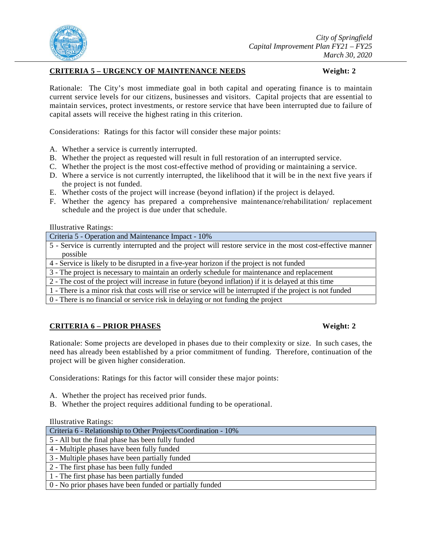

## **CRITERIA 5 – URGENCY OF MAINTENANCE NEEDS Weight: 2**

Rationale: The City's most immediate goal in both capital and operating finance is to maintain current service levels for our citizens, businesses and visitors. Capital projects that are essential to maintain services, protect investments, or restore service that have been interrupted due to failure of capital assets will receive the highest rating in this criterion.

Considerations: Ratings for this factor will consider these major points:

- A. Whether a service is currently interrupted.
- B. Whether the project as requested will result in full restoration of an interrupted service.
- C. Whether the project is the most cost-effective method of providing or maintaining a service.
- D. Where a service is not currently interrupted, the likelihood that it will be in the next five years if the project is not funded.
- E. Whether costs of the project will increase (beyond inflation) if the project is delayed.
- F. Whether the agency has prepared a comprehensive maintenance/rehabilitation/ replacement schedule and the project is due under that schedule.

Illustrative Ratings:

Criteria 5 - Operation and Maintenance Impact - 10%

5 - Service is currently interrupted and the project will restore service in the most cost-effective manner possible

4 - Service is likely to be disrupted in a five-year horizon if the project is not funded

3 - The project is necessary to maintain an orderly schedule for maintenance and replacement

2 - The cost of the project will increase in future (beyond inflation) if it is delayed at this time

1 - There is a minor risk that costs will rise or service will be interrupted if the project is not funded

0 - There is no financial or service risk in delaying or not funding the project

## **CRITERIA 6 – PRIOR PHASES Weight: 2**

Rationale: Some projects are developed in phases due to their complexity or size. In such cases, the need has already been established by a prior commitment of funding. Therefore, continuation of the project will be given higher consideration.

Considerations: Ratings for this factor will consider these major points:

- A. Whether the project has received prior funds.
- B. Whether the project requires additional funding to be operational.

| Criteria 6 - Relationship to Other Projects/Coordination - 10% |
|----------------------------------------------------------------|
| 5 - All but the final phase has been fully funded              |
| 4 - Multiple phases have been fully funded                     |
| 3 - Multiple phases have been partially funded                 |
| 2 - The first phase has been fully funded                      |
| 1 - The first phase has been partially funded                  |
| 0 - No prior phases have been funded or partially funded       |